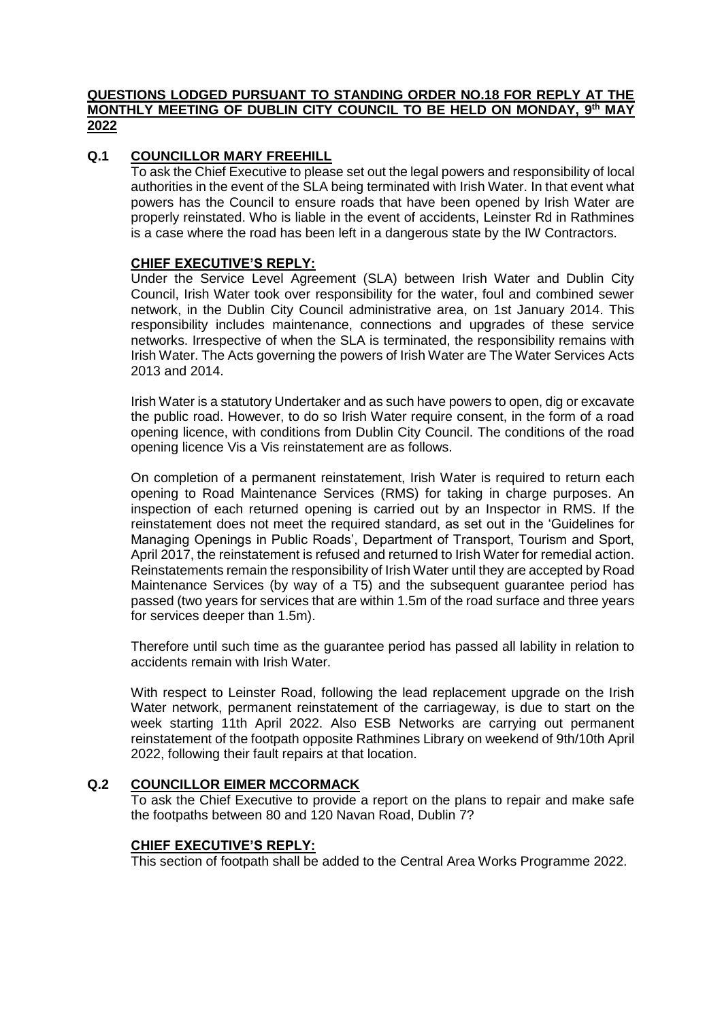## **QUESTIONS LODGED PURSUANT TO STANDING ORDER NO.18 FOR REPLY AT THE MONTHLY MEETING OF DUBLIN CITY COUNCIL TO BE HELD ON MONDAY, 9 th MAY 2022**

# **Q.1 COUNCILLOR MARY FREEHILL**

To ask the Chief Executive to please set out the legal powers and responsibility of local authorities in the event of the SLA being terminated with Irish Water. In that event what powers has the Council to ensure roads that have been opened by Irish Water are properly reinstated. Who is liable in the event of accidents, Leinster Rd in Rathmines is a case where the road has been left in a dangerous state by the IW Contractors.

## **CHIEF EXECUTIVE'S REPLY:**

Under the Service Level Agreement (SLA) between Irish Water and Dublin City Council, Irish Water took over responsibility for the water, foul and combined sewer network, in the Dublin City Council administrative area, on 1st January 2014. This responsibility includes maintenance, connections and upgrades of these service networks. Irrespective of when the SLA is terminated, the responsibility remains with Irish Water. The Acts governing the powers of Irish Water are The Water Services Acts 2013 and 2014.

Irish Water is a statutory Undertaker and as such have powers to open, dig or excavate the public road. However, to do so Irish Water require consent, in the form of a road opening licence, with conditions from Dublin City Council. The conditions of the road opening licence Vis a Vis reinstatement are as follows.

On completion of a permanent reinstatement, Irish Water is required to return each opening to Road Maintenance Services (RMS) for taking in charge purposes. An inspection of each returned opening is carried out by an Inspector in RMS. If the reinstatement does not meet the required standard, as set out in the 'Guidelines for Managing Openings in Public Roads', Department of Transport, Tourism and Sport, April 2017, the reinstatement is refused and returned to Irish Water for remedial action. Reinstatements remain the responsibility of Irish Water until they are accepted by Road Maintenance Services (by way of a T5) and the subsequent guarantee period has passed (two years for services that are within 1.5m of the road surface and three years for services deeper than 1.5m).

Therefore until such time as the guarantee period has passed all lability in relation to accidents remain with Irish Water.

With respect to Leinster Road, following the lead replacement upgrade on the Irish Water network, permanent reinstatement of the carriageway, is due to start on the week starting 11th April 2022. Also ESB Networks are carrying out permanent reinstatement of the footpath opposite Rathmines Library on weekend of 9th/10th April 2022, following their fault repairs at that location.

## **Q.2 COUNCILLOR EIMER MCCORMACK**

To ask the Chief Executive to provide a report on the plans to repair and make safe the footpaths between 80 and 120 Navan Road, Dublin 7?

## **CHIEF EXECUTIVE'S REPLY:**

This section of footpath shall be added to the Central Area Works Programme 2022.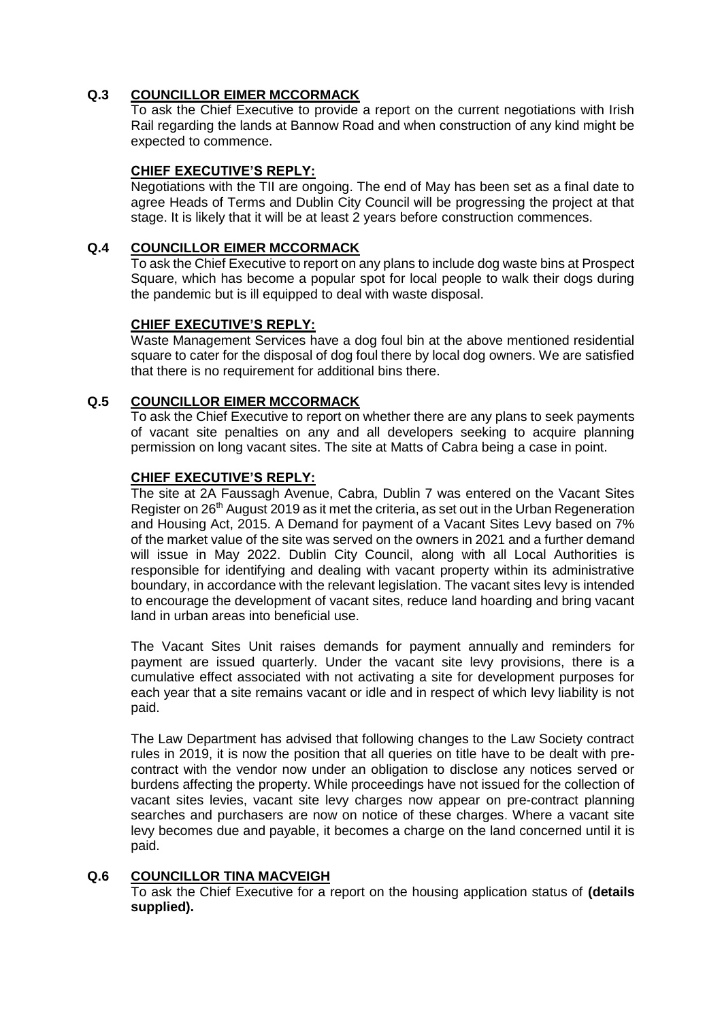# **Q.3 COUNCILLOR EIMER MCCORMACK**

To ask the Chief Executive to provide a report on the current negotiations with Irish Rail regarding the lands at Bannow Road and when construction of any kind might be expected to commence.

## **CHIEF EXECUTIVE'S REPLY:**

Negotiations with the TII are ongoing. The end of May has been set as a final date to agree Heads of Terms and Dublin City Council will be progressing the project at that stage. It is likely that it will be at least 2 years before construction commences.

## **Q.4 COUNCILLOR EIMER MCCORMACK**

To ask the Chief Executive to report on any plans to include dog waste bins at Prospect Square, which has become a popular spot for local people to walk their dogs during the pandemic but is ill equipped to deal with waste disposal.

## **CHIEF EXECUTIVE'S REPLY:**

Waste Management Services have a dog foul bin at the above mentioned residential square to cater for the disposal of dog foul there by local dog owners. We are satisfied that there is no requirement for additional bins there.

## **Q.5 COUNCILLOR EIMER MCCORMACK**

To ask the Chief Executive to report on whether there are any plans to seek payments of vacant site penalties on any and all developers seeking to acquire planning permission on long vacant sites. The site at Matts of Cabra being a case in point.

## **CHIEF EXECUTIVE'S REPLY:**

The site at 2A Faussagh Avenue, Cabra, Dublin 7 was entered on the Vacant Sites Register on 26<sup>th</sup> August 2019 as it met the criteria, as set out in the Urban Regeneration and Housing Act, 2015. A Demand for payment of a Vacant Sites Levy based on 7% of the market value of the site was served on the owners in 2021 and a further demand will issue in May 2022. Dublin City Council, along with all Local Authorities is responsible for identifying and dealing with vacant property within its administrative boundary, in accordance with the relevant legislation. The vacant sites levy is intended to encourage the development of vacant sites, reduce land hoarding and bring vacant land in urban areas into beneficial use.

The Vacant Sites Unit raises demands for payment annually and reminders for payment are issued quarterly. Under the vacant site levy provisions, there is a cumulative effect associated with not activating a site for development purposes for each year that a site remains vacant or idle and in respect of which levy liability is not paid.

The Law Department has advised that following changes to the Law Society contract rules in 2019, it is now the position that all queries on title have to be dealt with precontract with the vendor now under an obligation to disclose any notices served or burdens affecting the property. While proceedings have not issued for the collection of vacant sites levies, vacant site levy charges now appear on pre-contract planning searches and purchasers are now on notice of these charges. Where a vacant site levy becomes due and payable, it becomes a charge on the land concerned until it is paid.

## **Q.6 COUNCILLOR TINA MACVEIGH**

To ask the Chief Executive for a report on the housing application status of **(details supplied).**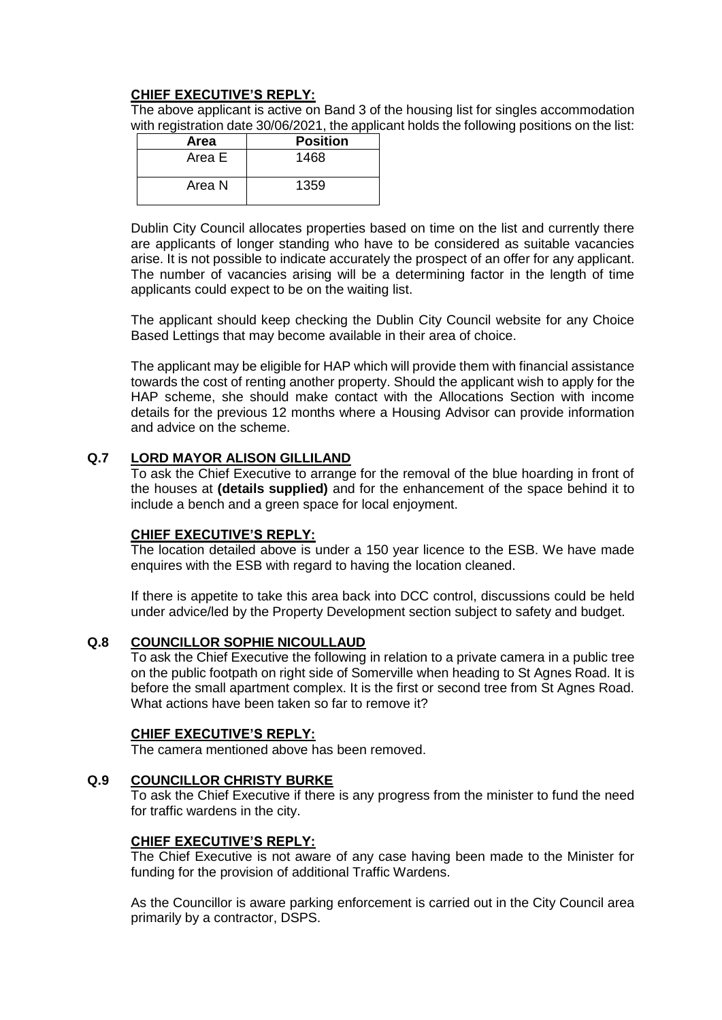The above applicant is active on Band 3 of the housing list for singles accommodation with registration date 30/06/2021, the applicant holds the following positions on the list:

| Area   | <b>Position</b> |
|--------|-----------------|
| Area E | 1468            |
| Area N | 1359            |

Dublin City Council allocates properties based on time on the list and currently there are applicants of longer standing who have to be considered as suitable vacancies arise. It is not possible to indicate accurately the prospect of an offer for any applicant. The number of vacancies arising will be a determining factor in the length of time applicants could expect to be on the waiting list.

The applicant should keep checking the Dublin City Council website for any Choice Based Lettings that may become available in their area of choice.

The applicant may be eligible for HAP which will provide them with financial assistance towards the cost of renting another property. Should the applicant wish to apply for the HAP scheme, she should make contact with the Allocations Section with income details for the previous 12 months where a Housing Advisor can provide information and advice on the scheme.

## **Q.7 LORD MAYOR ALISON GILLILAND**

To ask the Chief Executive to arrange for the removal of the blue hoarding in front of the houses at **(details supplied)** and for the enhancement of the space behind it to include a bench and a green space for local enjoyment.

### **CHIEF EXECUTIVE'S REPLY:**

The location detailed above is under a 150 year licence to the ESB. We have made enquires with the ESB with regard to having the location cleaned.

If there is appetite to take this area back into DCC control, discussions could be held under advice/led by the Property Development section subject to safety and budget.

## **Q.8 COUNCILLOR SOPHIE NICOULLAUD**

To ask the Chief Executive the following in relation to a private camera in a public tree on the public footpath on right side of Somerville when heading to St Agnes Road. It is before the small apartment complex. It is the first or second tree from St Agnes Road. What actions have been taken so far to remove it?

### **CHIEF EXECUTIVE'S REPLY:**

The camera mentioned above has been removed.

### **Q.9 COUNCILLOR CHRISTY BURKE**

To ask the Chief Executive if there is any progress from the minister to fund the need for traffic wardens in the city.

### **CHIEF EXECUTIVE'S REPLY:**

The Chief Executive is not aware of any case having been made to the Minister for funding for the provision of additional Traffic Wardens.

As the Councillor is aware parking enforcement is carried out in the City Council area primarily by a contractor, DSPS.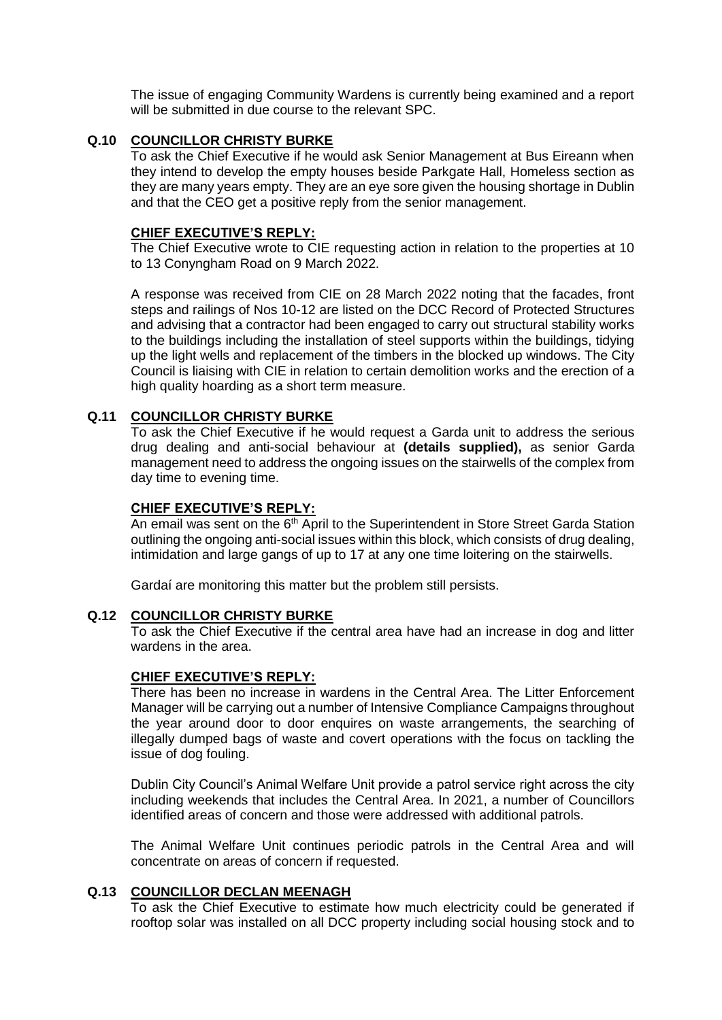The issue of engaging Community Wardens is currently being examined and a report will be submitted in due course to the relevant SPC.

## **Q.10 COUNCILLOR CHRISTY BURKE**

To ask the Chief Executive if he would ask Senior Management at Bus Eireann when they intend to develop the empty houses beside Parkgate Hall, Homeless section as they are many years empty. They are an eye sore given the housing shortage in Dublin and that the CEO get a positive reply from the senior management.

### **CHIEF EXECUTIVE'S REPLY:**

The Chief Executive wrote to CIE requesting action in relation to the properties at 10 to 13 Conyngham Road on 9 March 2022.

A response was received from CIE on 28 March 2022 noting that the facades, front steps and railings of Nos 10-12 are listed on the DCC Record of Protected Structures and advising that a contractor had been engaged to carry out structural stability works to the buildings including the installation of steel supports within the buildings, tidying up the light wells and replacement of the timbers in the blocked up windows. The City Council is liaising with CIE in relation to certain demolition works and the erection of a high quality hoarding as a short term measure.

## **Q.11 COUNCILLOR CHRISTY BURKE**

To ask the Chief Executive if he would request a Garda unit to address the serious drug dealing and anti-social behaviour at **(details supplied),** as senior Garda management need to address the ongoing issues on the stairwells of the complex from day time to evening time.

#### **CHIEF EXECUTIVE'S REPLY:**

An email was sent on the 6<sup>th</sup> April to the Superintendent in Store Street Garda Station outlining the ongoing anti-social issues within this block, which consists of drug dealing, intimidation and large gangs of up to 17 at any one time loitering on the stairwells.

Gardaí are monitoring this matter but the problem still persists.

### **Q.12 COUNCILLOR CHRISTY BURKE**

To ask the Chief Executive if the central area have had an increase in dog and litter wardens in the area.

## **CHIEF EXECUTIVE'S REPLY:**

There has been no increase in wardens in the Central Area. The Litter Enforcement Manager will be carrying out a number of Intensive Compliance Campaigns throughout the year around door to door enquires on waste arrangements, the searching of illegally dumped bags of waste and covert operations with the focus on tackling the issue of dog fouling.

Dublin City Council's Animal Welfare Unit provide a patrol service right across the city including weekends that includes the Central Area. In 2021, a number of Councillors identified areas of concern and those were addressed with additional patrols.

The Animal Welfare Unit continues periodic patrols in the Central Area and will concentrate on areas of concern if requested.

### **Q.13 COUNCILLOR DECLAN MEENAGH**

To ask the Chief Executive to estimate how much electricity could be generated if rooftop solar was installed on all DCC property including social housing stock and to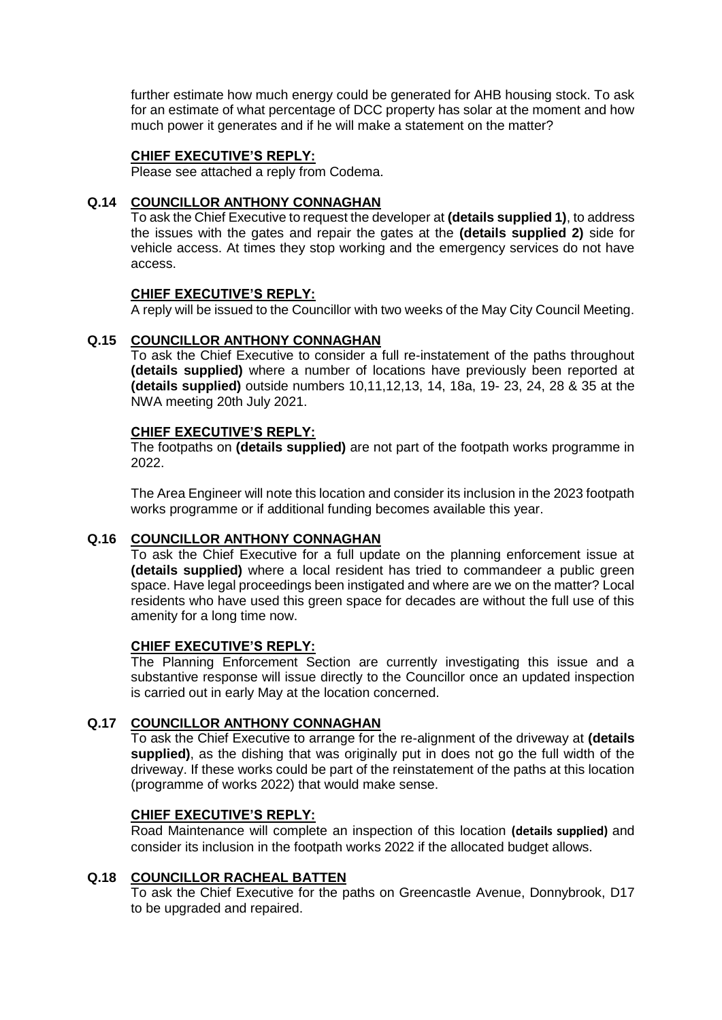further estimate how much energy could be generated for AHB housing stock. To ask for an estimate of what percentage of DCC property has solar at the moment and how much power it generates and if he will make a statement on the matter?

## **CHIEF EXECUTIVE'S REPLY:**

Please see attached a reply from Codema.

## **Q.14 COUNCILLOR ANTHONY CONNAGHAN**

To ask the Chief Executive to request the developer at **(details supplied 1)**, to address the issues with the gates and repair the gates at the **(details supplied 2)** side for vehicle access. At times they stop working and the emergency services do not have access.

## **CHIEF EXECUTIVE'S REPLY:**

A reply will be issued to the Councillor with two weeks of the May City Council Meeting.

## **Q.15 COUNCILLOR ANTHONY CONNAGHAN**

To ask the Chief Executive to consider a full re-instatement of the paths throughout **(details supplied)** where a number of locations have previously been reported at **(details supplied)** outside numbers 10,11,12,13, 14, 18a, 19- 23, 24, 28 & 35 at the NWA meeting 20th July 2021.

## **CHIEF EXECUTIVE'S REPLY:**

The footpaths on **(details supplied)** are not part of the footpath works programme in 2022.

The Area Engineer will note this location and consider its inclusion in the 2023 footpath works programme or if additional funding becomes available this year.

## **Q.16 COUNCILLOR ANTHONY CONNAGHAN**

To ask the Chief Executive for a full update on the planning enforcement issue at **(details supplied)** where a local resident has tried to commandeer a public green space. Have legal proceedings been instigated and where are we on the matter? Local residents who have used this green space for decades are without the full use of this amenity for a long time now.

### **CHIEF EXECUTIVE'S REPLY:**

The Planning Enforcement Section are currently investigating this issue and a substantive response will issue directly to the Councillor once an updated inspection is carried out in early May at the location concerned.

# **Q.17 COUNCILLOR ANTHONY CONNAGHAN**

To ask the Chief Executive to arrange for the re-alignment of the driveway at **(details supplied)**, as the dishing that was originally put in does not go the full width of the driveway. If these works could be part of the reinstatement of the paths at this location (programme of works 2022) that would make sense.

### **CHIEF EXECUTIVE'S REPLY:**

Road Maintenance will complete an inspection of this location **(details supplied)** and consider its inclusion in the footpath works 2022 if the allocated budget allows.

## **Q.18 COUNCILLOR RACHEAL BATTEN**

To ask the Chief Executive for the paths on Greencastle Avenue, Donnybrook, D17 to be upgraded and repaired.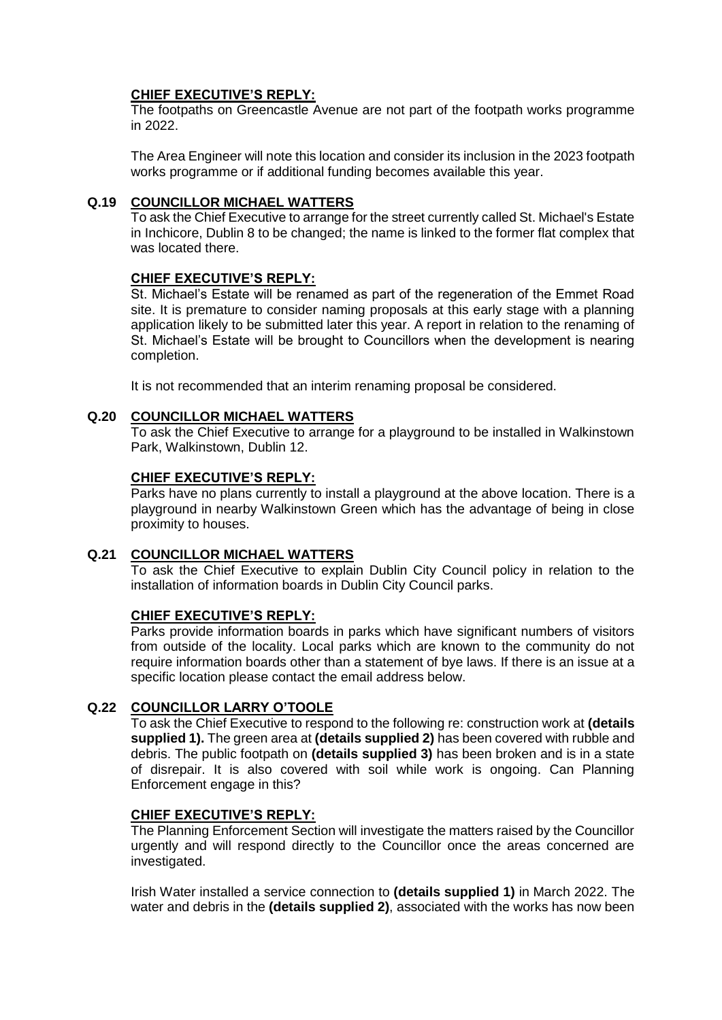The footpaths on Greencastle Avenue are not part of the footpath works programme in 2022.

The Area Engineer will note this location and consider its inclusion in the 2023 footpath works programme or if additional funding becomes available this year.

## **Q.19 COUNCILLOR MICHAEL WATTERS**

To ask the Chief Executive to arrange for the street currently called St. Michael's Estate in Inchicore, Dublin 8 to be changed; the name is linked to the former flat complex that was located there.

## **CHIEF EXECUTIVE'S REPLY:**

St. Michael's Estate will be renamed as part of the regeneration of the Emmet Road site. It is premature to consider naming proposals at this early stage with a planning application likely to be submitted later this year. A report in relation to the renaming of St. Michael's Estate will be brought to Councillors when the development is nearing completion.

It is not recommended that an interim renaming proposal be considered.

### **Q.20 COUNCILLOR MICHAEL WATTERS**

To ask the Chief Executive to arrange for a playground to be installed in Walkinstown Park, Walkinstown, Dublin 12.

## **CHIEF EXECUTIVE'S REPLY:**

Parks have no plans currently to install a playground at the above location. There is a playground in nearby Walkinstown Green which has the advantage of being in close proximity to houses.

## **Q.21 COUNCILLOR MICHAEL WATTERS**

To ask the Chief Executive to explain Dublin City Council policy in relation to the installation of information boards in Dublin City Council parks.

## **CHIEF EXECUTIVE'S REPLY:**

Parks provide information boards in parks which have significant numbers of visitors from outside of the locality. Local parks which are known to the community do not require information boards other than a statement of bye laws. If there is an issue at a specific location please contact the email address below.

### **Q.22 COUNCILLOR LARRY O'TOOLE**

To ask the Chief Executive to respond to the following re: construction work at **(details supplied 1).** The green area at **(details supplied 2)** has been covered with rubble and debris. The public footpath on **(details supplied 3)** has been broken and is in a state of disrepair. It is also covered with soil while work is ongoing. Can Planning Enforcement engage in this?

### **CHIEF EXECUTIVE'S REPLY:**

The Planning Enforcement Section will investigate the matters raised by the Councillor urgently and will respond directly to the Councillor once the areas concerned are investigated.

Irish Water installed a service connection to **(details supplied 1)** in March 2022. The water and debris in the **(details supplied 2)**, associated with the works has now been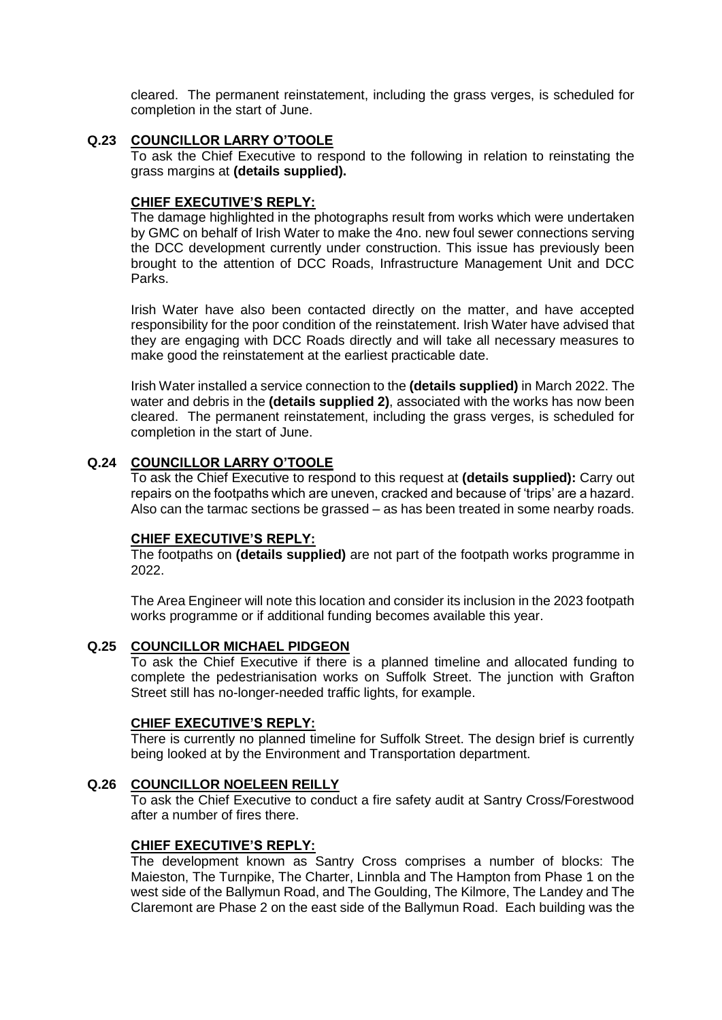cleared. The permanent reinstatement, including the grass verges, is scheduled for completion in the start of June.

## **Q.23 COUNCILLOR LARRY O'TOOLE**

To ask the Chief Executive to respond to the following in relation to reinstating the grass margins at **(details supplied).**

## **CHIEF EXECUTIVE'S REPLY:**

The damage highlighted in the photographs result from works which were undertaken by GMC on behalf of Irish Water to make the 4no. new foul sewer connections serving the DCC development currently under construction. This issue has previously been brought to the attention of DCC Roads, Infrastructure Management Unit and DCC Parks.

Irish Water have also been contacted directly on the matter, and have accepted responsibility for the poor condition of the reinstatement. Irish Water have advised that they are engaging with DCC Roads directly and will take all necessary measures to make good the reinstatement at the earliest practicable date.

Irish Water installed a service connection to the **(details supplied)** in March 2022. The water and debris in the **(details supplied 2)**, associated with the works has now been cleared. The permanent reinstatement, including the grass verges, is scheduled for completion in the start of June.

## **Q.24 COUNCILLOR LARRY O'TOOLE**

To ask the Chief Executive to respond to this request at **(details supplied):** Carry out repairs on the footpaths which are uneven, cracked and because of 'trips' are a hazard. Also can the tarmac sections be grassed – as has been treated in some nearby roads.

### **CHIEF EXECUTIVE'S REPLY:**

The footpaths on **(details supplied)** are not part of the footpath works programme in 2022.

The Area Engineer will note this location and consider its inclusion in the 2023 footpath works programme or if additional funding becomes available this year.

## **Q.25 COUNCILLOR MICHAEL PIDGEON**

To ask the Chief Executive if there is a planned timeline and allocated funding to complete the pedestrianisation works on Suffolk Street. The junction with Grafton Street still has no-longer-needed traffic lights, for example.

## **CHIEF EXECUTIVE'S REPLY:**

There is currently no planned timeline for Suffolk Street. The design brief is currently being looked at by the Environment and Transportation department.

### **Q.26 COUNCILLOR NOELEEN REILLY**

To ask the Chief Executive to conduct a fire safety audit at Santry Cross/Forestwood after a number of fires there.

## **CHIEF EXECUTIVE'S REPLY:**

The development known as Santry Cross comprises a number of blocks: The Maieston, The Turnpike, The Charter, Linnbla and The Hampton from Phase 1 on the west side of the Ballymun Road, and The Goulding, The Kilmore, The Landey and The Claremont are Phase 2 on the east side of the Ballymun Road. Each building was the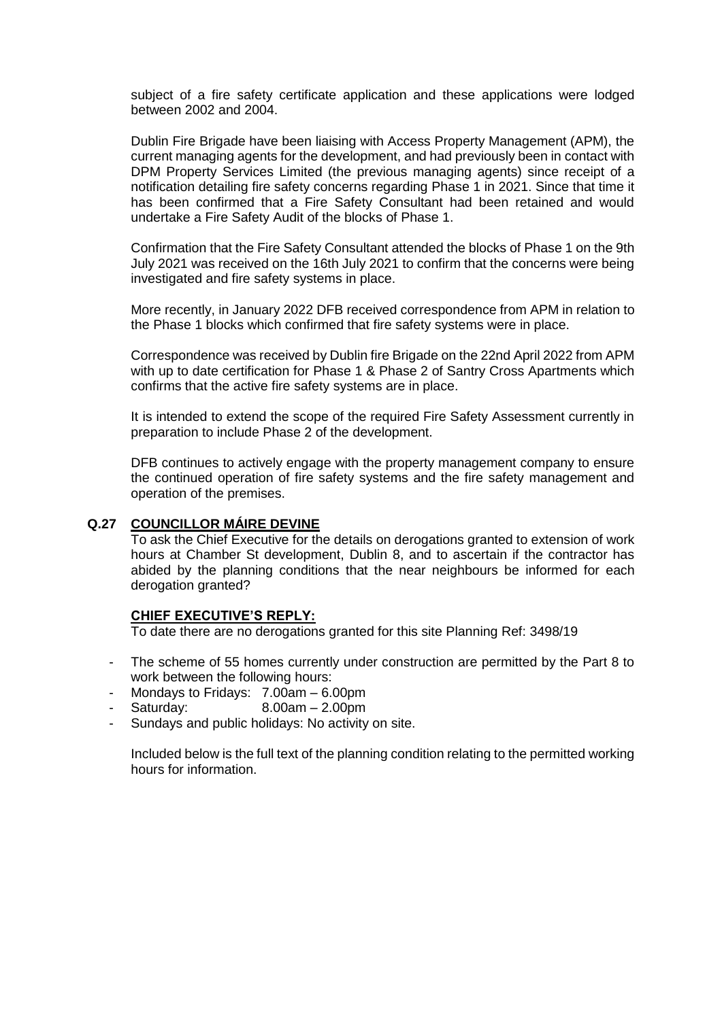subject of a fire safety certificate application and these applications were lodged between 2002 and 2004.

Dublin Fire Brigade have been liaising with Access Property Management (APM), the current managing agents for the development, and had previously been in contact with DPM Property Services Limited (the previous managing agents) since receipt of a notification detailing fire safety concerns regarding Phase 1 in 2021. Since that time it has been confirmed that a Fire Safety Consultant had been retained and would undertake a Fire Safety Audit of the blocks of Phase 1.

Confirmation that the Fire Safety Consultant attended the blocks of Phase 1 on the 9th July 2021 was received on the 16th July 2021 to confirm that the concerns were being investigated and fire safety systems in place.

More recently, in January 2022 DFB received correspondence from APM in relation to the Phase 1 blocks which confirmed that fire safety systems were in place.

Correspondence was received by Dublin fire Brigade on the 22nd April 2022 from APM with up to date certification for Phase 1 & Phase 2 of Santry Cross Apartments which confirms that the active fire safety systems are in place.

It is intended to extend the scope of the required Fire Safety Assessment currently in preparation to include Phase 2 of the development.

DFB continues to actively engage with the property management company to ensure the continued operation of fire safety systems and the fire safety management and operation of the premises.

## **Q.27 COUNCILLOR MÁIRE DEVINE**

To ask the Chief Executive for the details on derogations granted to extension of work hours at Chamber St development, Dublin 8, and to ascertain if the contractor has abided by the planning conditions that the near neighbours be informed for each derogation granted?

### **CHIEF EXECUTIVE'S REPLY:**

To date there are no derogations granted for this site Planning Ref: 3498/19

- The scheme of 55 homes currently under construction are permitted by the Part 8 to work between the following hours:
- Mondays to Fridays: 7.00am 6.00pm
- Saturday: 8.00am 2.00pm
- Sundays and public holidays: No activity on site.

Included below is the full text of the planning condition relating to the permitted working hours for information.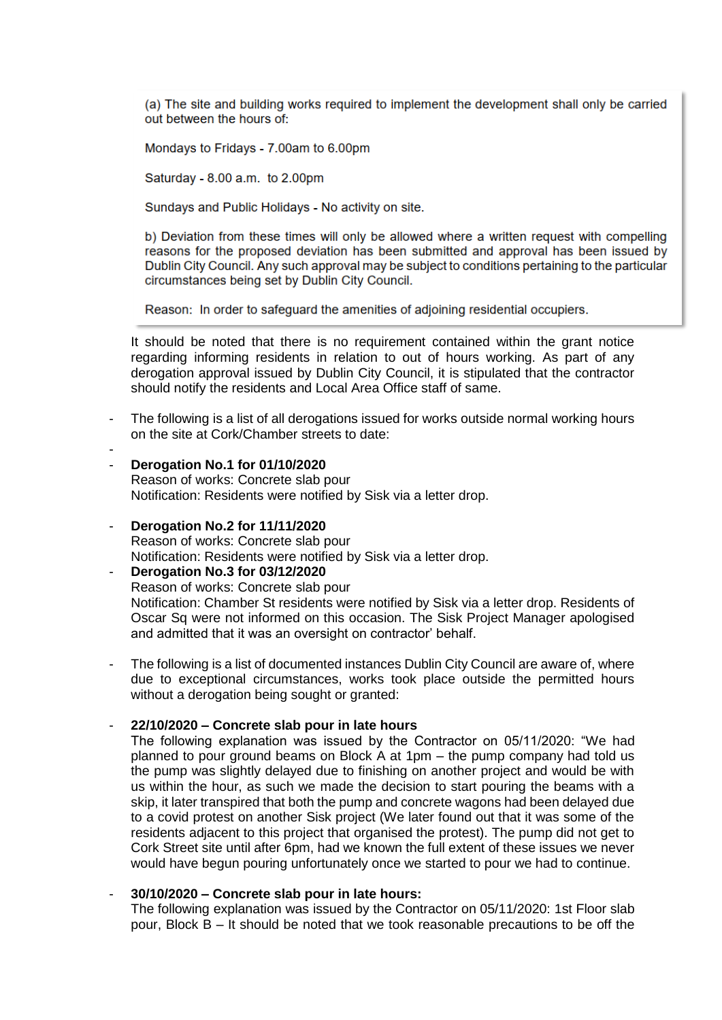(a) The site and building works required to implement the development shall only be carried out between the hours of:

Mondays to Fridays - 7.00am to 6.00pm

Saturday - 8.00 a.m. to 2.00pm

Sundays and Public Holidays - No activity on site.

b) Deviation from these times will only be allowed where a written request with compelling reasons for the proposed deviation has been submitted and approval has been issued by Dublin City Council. Any such approval may be subject to conditions pertaining to the particular circumstances being set by Dublin City Council.

Reason: In order to safeguard the amenities of adjoining residential occupiers.

It should be noted that there is no requirement contained within the grant notice regarding informing residents in relation to out of hours working. As part of any derogation approval issued by Dublin City Council, it is stipulated that the contractor should notify the residents and Local Area Office staff of same.

- The following is a list of all derogations issued for works outside normal working hours on the site at Cork/Chamber streets to date:
- **Derogation No.1 for 01/10/2020**

-

Reason of works: Concrete slab pour Notification: Residents were notified by Sisk via a letter drop.

- **Derogation No.2 for 11/11/2020**

Reason of works: Concrete slab pour Notification: Residents were notified by Sisk via a letter drop.

- **Derogation No.3 for 03/12/2020** Reason of works: Concrete slab pour Notification: Chamber St residents were notified by Sisk via a letter drop. Residents of Oscar Sq were not informed on this occasion. The Sisk Project Manager apologised and admitted that it was an oversight on contractor' behalf.

The following is a list of documented instances Dublin City Council are aware of, where due to exceptional circumstances, works took place outside the permitted hours without a derogation being sought or granted:

### - **22/10/2020 – Concrete slab pour in late hours**

The following explanation was issued by the Contractor on 05/11/2020: "We had planned to pour ground beams on Block A at 1pm – the pump company had told us the pump was slightly delayed due to finishing on another project and would be with us within the hour, as such we made the decision to start pouring the beams with a skip, it later transpired that both the pump and concrete wagons had been delayed due to a covid protest on another Sisk project (We later found out that it was some of the residents adjacent to this project that organised the protest). The pump did not get to Cork Street site until after 6pm, had we known the full extent of these issues we never would have begun pouring unfortunately once we started to pour we had to continue.

#### - **30/10/2020 – Concrete slab pour in late hours:**

The following explanation was issued by the Contractor on 05/11/2020: 1st Floor slab pour, Block B – It should be noted that we took reasonable precautions to be off the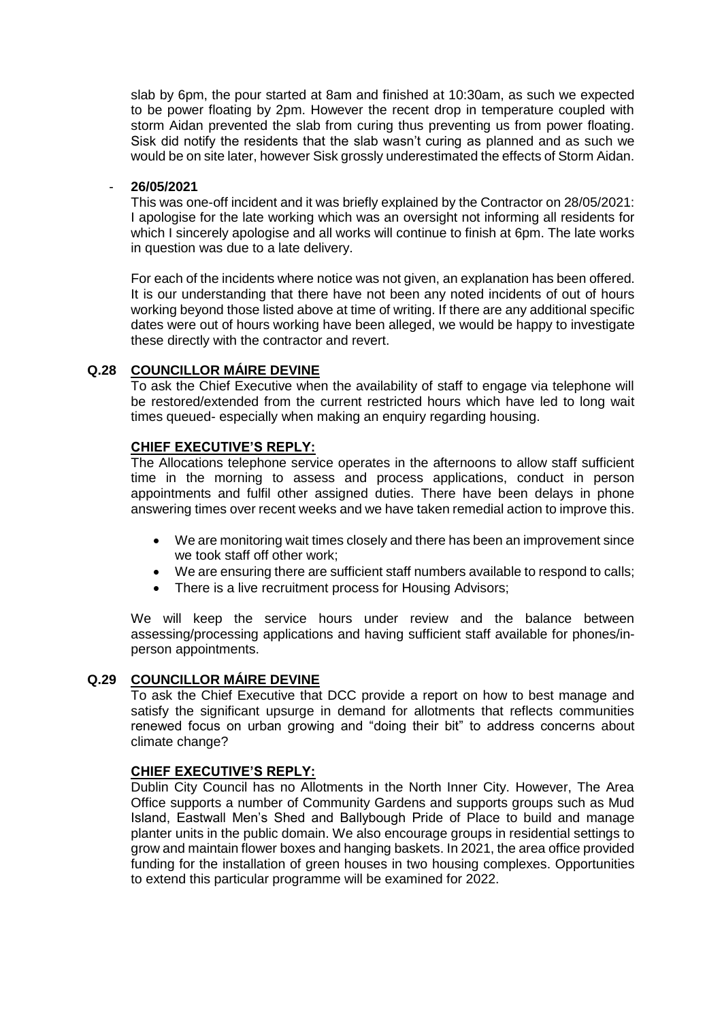slab by 6pm, the pour started at 8am and finished at 10:30am, as such we expected to be power floating by 2pm. However the recent drop in temperature coupled with storm Aidan prevented the slab from curing thus preventing us from power floating. Sisk did notify the residents that the slab wasn't curing as planned and as such we would be on site later, however Sisk grossly underestimated the effects of Storm Aidan.

### - **26/05/2021**

This was one-off incident and it was briefly explained by the Contractor on 28/05/2021: I apologise for the late working which was an oversight not informing all residents for which I sincerely apologise and all works will continue to finish at 6pm. The late works in question was due to a late delivery.

For each of the incidents where notice was not given, an explanation has been offered. It is our understanding that there have not been any noted incidents of out of hours working beyond those listed above at time of writing. If there are any additional specific dates were out of hours working have been alleged, we would be happy to investigate these directly with the contractor and revert.

## **Q.28 COUNCILLOR MÁIRE DEVINE**

To ask the Chief Executive when the availability of staff to engage via telephone will be restored/extended from the current restricted hours which have led to long wait times queued- especially when making an enquiry regarding housing.

## **CHIEF EXECUTIVE'S REPLY:**

The Allocations telephone service operates in the afternoons to allow staff sufficient time in the morning to assess and process applications, conduct in person appointments and fulfil other assigned duties. There have been delays in phone answering times over recent weeks and we have taken remedial action to improve this.

- We are monitoring wait times closely and there has been an improvement since we took staff off other work;
- We are ensuring there are sufficient staff numbers available to respond to calls;
- There is a live recruitment process for Housing Advisors;

We will keep the service hours under review and the balance between assessing/processing applications and having sufficient staff available for phones/inperson appointments.

## **Q.29 COUNCILLOR MÁIRE DEVINE**

To ask the Chief Executive that DCC provide a report on how to best manage and satisfy the significant upsurge in demand for allotments that reflects communities renewed focus on urban growing and "doing their bit" to address concerns about climate change?

## **CHIEF EXECUTIVE'S REPLY:**

Dublin City Council has no Allotments in the North Inner City. However, The Area Office supports a number of Community Gardens and supports groups such as Mud Island, Eastwall Men's Shed and Ballybough Pride of Place to build and manage planter units in the public domain. We also encourage groups in residential settings to grow and maintain flower boxes and hanging baskets. In 2021, the area office provided funding for the installation of green houses in two housing complexes. Opportunities to extend this particular programme will be examined for 2022.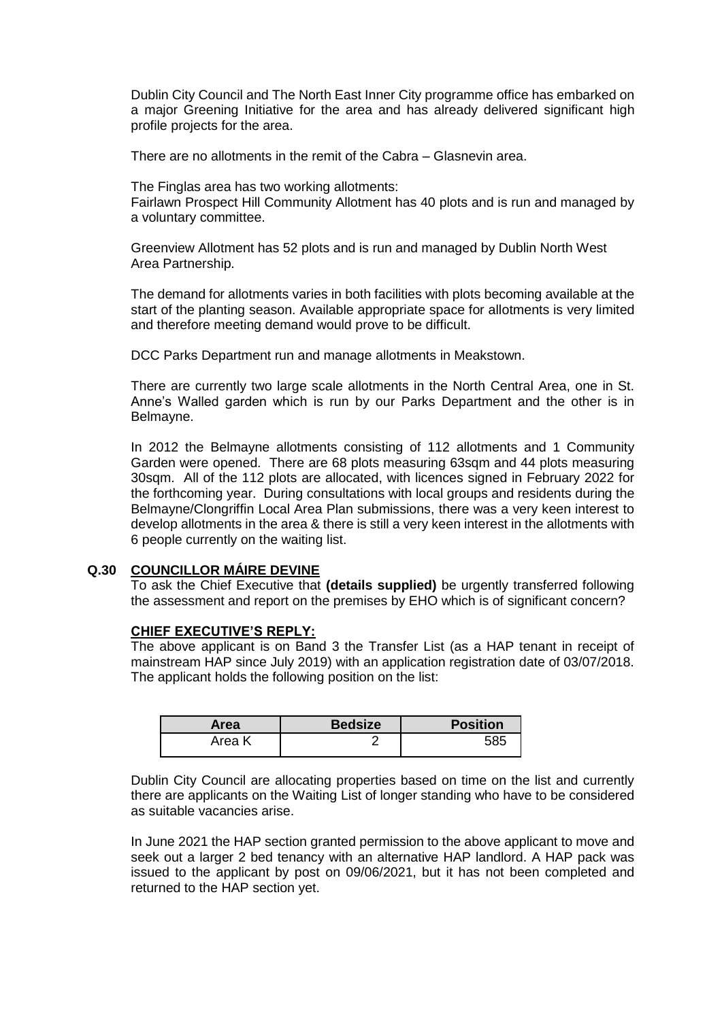Dublin City Council and The North East Inner City programme office has embarked on a major Greening Initiative for the area and has already delivered significant high profile projects for the area.

There are no allotments in the remit of the Cabra – Glasnevin area.

The Finglas area has two working allotments:

Fairlawn Prospect Hill Community Allotment has 40 plots and is run and managed by a voluntary committee.

Greenview Allotment has 52 plots and is run and managed by Dublin North West Area Partnership.

The demand for allotments varies in both facilities with plots becoming available at the start of the planting season. Available appropriate space for allotments is very limited and therefore meeting demand would prove to be difficult.

DCC Parks Department run and manage allotments in Meakstown.

There are currently two large scale allotments in the North Central Area, one in St. Anne's Walled garden which is run by our Parks Department and the other is in Belmayne.

In 2012 the Belmayne allotments consisting of 112 allotments and 1 Community Garden were opened. There are 68 plots measuring 63sqm and 44 plots measuring 30sqm. All of the 112 plots are allocated, with licences signed in February 2022 for the forthcoming year. During consultations with local groups and residents during the Belmayne/Clongriffin Local Area Plan submissions, there was a very keen interest to develop allotments in the area & there is still a very keen interest in the allotments with 6 people currently on the waiting list.

## **Q.30 COUNCILLOR MÁIRE DEVINE**

To ask the Chief Executive that **(details supplied)** be urgently transferred following the assessment and report on the premises by EHO which is of significant concern?

### **CHIEF EXECUTIVE'S REPLY:**

The above applicant is on Band 3 the Transfer List (as a HAP tenant in receipt of mainstream HAP since July 2019) with an application registration date of 03/07/2018. The applicant holds the following position on the list:

| Area   | <b>Bedsize</b> | <b>Position</b> |
|--------|----------------|-----------------|
| Area K |                |                 |

Dublin City Council are allocating properties based on time on the list and currently there are applicants on the Waiting List of longer standing who have to be considered as suitable vacancies arise.

In June 2021 the HAP section granted permission to the above applicant to move and seek out a larger 2 bed tenancy with an alternative HAP landlord. A HAP pack was issued to the applicant by post on 09/06/2021, but it has not been completed and returned to the HAP section yet.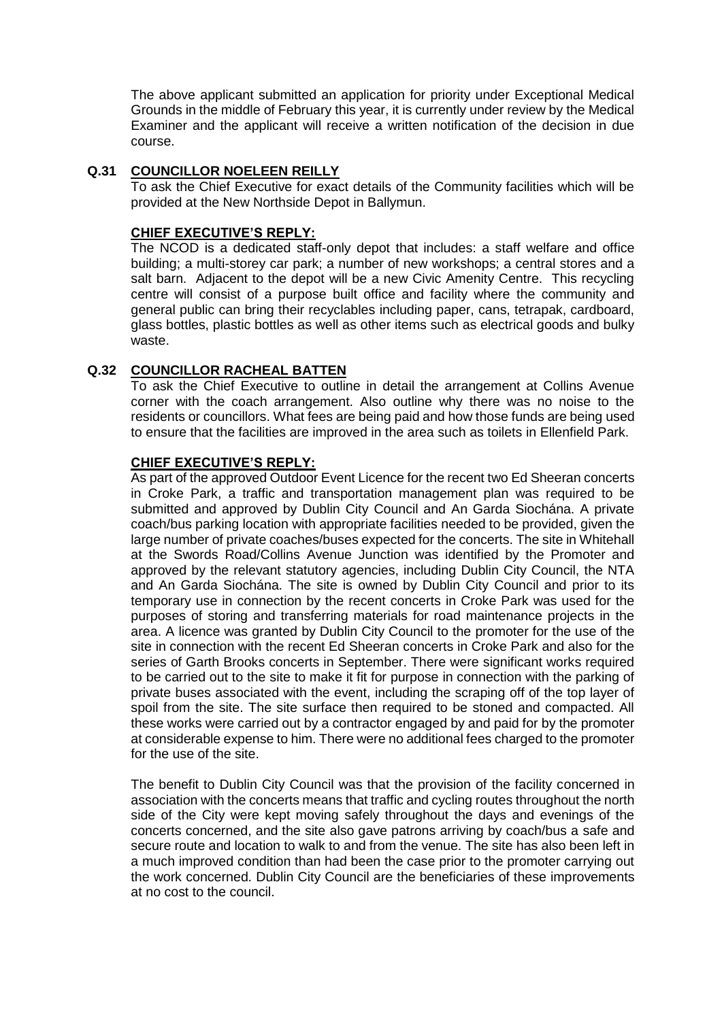The above applicant submitted an application for priority under Exceptional Medical Grounds in the middle of February this year, it is currently under review by the Medical Examiner and the applicant will receive a written notification of the decision in due course.

## **Q.31 COUNCILLOR NOELEEN REILLY**

To ask the Chief Executive for exact details of the Community facilities which will be provided at the New Northside Depot in Ballymun.

### **CHIEF EXECUTIVE'S REPLY:**

The NCOD is a dedicated staff-only depot that includes: a staff welfare and office building; a multi-storey car park; a number of new workshops; a central stores and a salt barn. Adjacent to the depot will be a new Civic Amenity Centre. This recycling centre will consist of a purpose built office and facility where the community and general public can bring their recyclables including paper, cans, tetrapak, cardboard, glass bottles, plastic bottles as well as other items such as electrical goods and bulky waste.

## **Q.32 COUNCILLOR RACHEAL BATTEN**

To ask the Chief Executive to outline in detail the arrangement at Collins Avenue corner with the coach arrangement. Also outline why there was no noise to the residents or councillors. What fees are being paid and how those funds are being used to ensure that the facilities are improved in the area such as toilets in Ellenfield Park.

### **CHIEF EXECUTIVE'S REPLY:**

As part of the approved Outdoor Event Licence for the recent two Ed Sheeran concerts in Croke Park, a traffic and transportation management plan was required to be submitted and approved by Dublin City Council and An Garda Siochána. A private coach/bus parking location with appropriate facilities needed to be provided, given the large number of private coaches/buses expected for the concerts. The site in Whitehall at the Swords Road/Collins Avenue Junction was identified by the Promoter and approved by the relevant statutory agencies, including Dublin City Council, the NTA and An Garda Siochána. The site is owned by Dublin City Council and prior to its temporary use in connection by the recent concerts in Croke Park was used for the purposes of storing and transferring materials for road maintenance projects in the area. A licence was granted by Dublin City Council to the promoter for the use of the site in connection with the recent Ed Sheeran concerts in Croke Park and also for the series of Garth Brooks concerts in September. There were significant works required to be carried out to the site to make it fit for purpose in connection with the parking of private buses associated with the event, including the scraping off of the top layer of spoil from the site. The site surface then required to be stoned and compacted. All these works were carried out by a contractor engaged by and paid for by the promoter at considerable expense to him. There were no additional fees charged to the promoter for the use of the site.

The benefit to Dublin City Council was that the provision of the facility concerned in association with the concerts means that traffic and cycling routes throughout the north side of the City were kept moving safely throughout the days and evenings of the concerts concerned, and the site also gave patrons arriving by coach/bus a safe and secure route and location to walk to and from the venue. The site has also been left in a much improved condition than had been the case prior to the promoter carrying out the work concerned. Dublin City Council are the beneficiaries of these improvements at no cost to the council.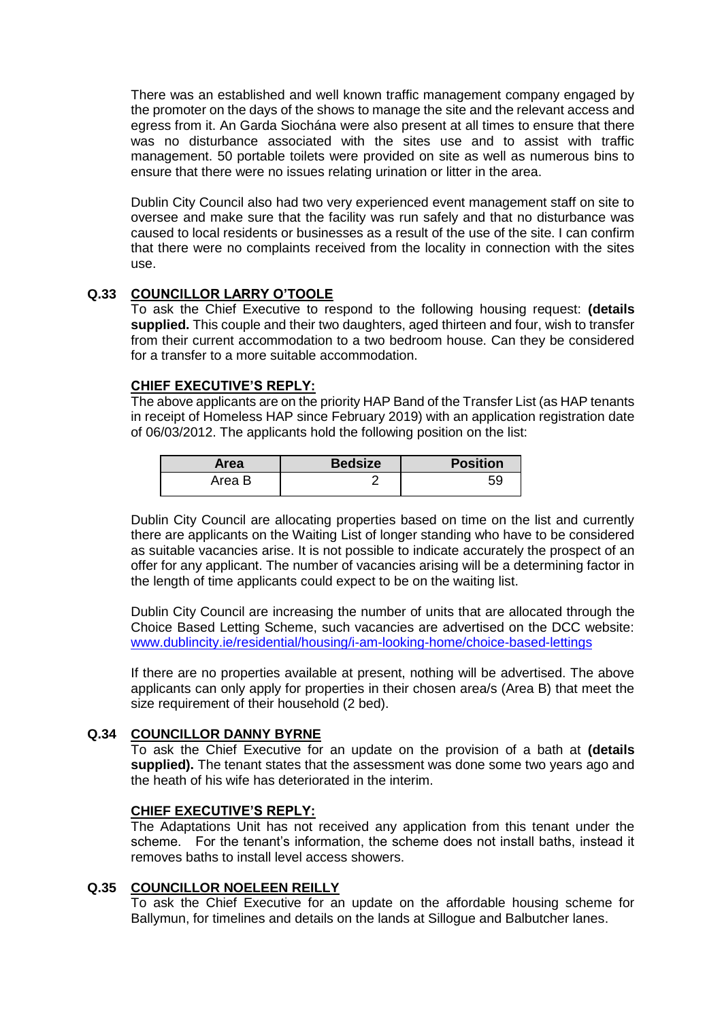There was an established and well known traffic management company engaged by the promoter on the days of the shows to manage the site and the relevant access and egress from it. An Garda Siochána were also present at all times to ensure that there was no disturbance associated with the sites use and to assist with traffic management. 50 portable toilets were provided on site as well as numerous bins to ensure that there were no issues relating urination or litter in the area.

Dublin City Council also had two very experienced event management staff on site to oversee and make sure that the facility was run safely and that no disturbance was caused to local residents or businesses as a result of the use of the site. I can confirm that there were no complaints received from the locality in connection with the sites use.

## **Q.33 COUNCILLOR LARRY O'TOOLE**

To ask the Chief Executive to respond to the following housing request: **(details supplied.** This couple and their two daughters, aged thirteen and four, wish to transfer from their current accommodation to a two bedroom house. Can they be considered for a transfer to a more suitable accommodation.

## **CHIEF EXECUTIVE'S REPLY:**

The above applicants are on the priority HAP Band of the Transfer List (as HAP tenants in receipt of Homeless HAP since February 2019) with an application registration date of 06/03/2012. The applicants hold the following position on the list:

| Area   | <b>Bedsize</b> | <b>Position</b> |
|--------|----------------|-----------------|
| Area B |                |                 |

Dublin City Council are allocating properties based on time on the list and currently there are applicants on the Waiting List of longer standing who have to be considered as suitable vacancies arise. It is not possible to indicate accurately the prospect of an offer for any applicant. The number of vacancies arising will be a determining factor in the length of time applicants could expect to be on the waiting list.

Dublin City Council are increasing the number of units that are allocated through the Choice Based Letting Scheme, such vacancies are advertised on the DCC website: [www.dublincity.ie/residential/housing/i-am-looking-home/choice-based-lettings](http://www.dublincity.ie/residential/housing/i-am-looking-home/choice-based-lettings)

If there are no properties available at present, nothing will be advertised. The above applicants can only apply for properties in their chosen area/s (Area B) that meet the size requirement of their household (2 bed).

## **Q.34 COUNCILLOR DANNY BYRNE**

To ask the Chief Executive for an update on the provision of a bath at **(details supplied).** The tenant states that the assessment was done some two years ago and the heath of his wife has deteriorated in the interim.

## **CHIEF EXECUTIVE'S REPLY:**

The Adaptations Unit has not received any application from this tenant under the scheme. For the tenant's information, the scheme does not install baths, instead it removes baths to install level access showers.

### **Q.35 COUNCILLOR NOELEEN REILLY**

To ask the Chief Executive for an update on the affordable housing scheme for Ballymun, for timelines and details on the lands at Sillogue and Balbutcher lanes.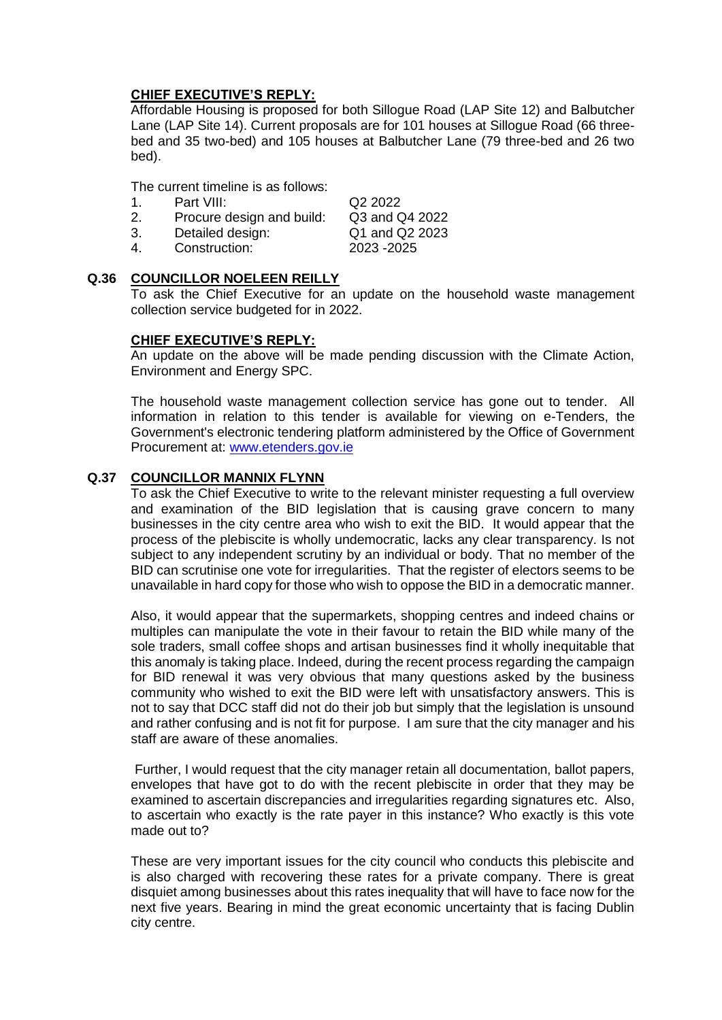Affordable Housing is proposed for both Sillogue Road (LAP Site 12) and Balbutcher Lane (LAP Site 14). Current proposals are for 101 houses at Sillogue Road (66 threebed and 35 two-bed) and 105 houses at Balbutcher Lane (79 three-bed and 26 two bed).

The current timeline is as follows:

| 1. | Part VIII:                | Q <sub>2</sub> 2022 |
|----|---------------------------|---------------------|
| 2. | Procure design and build: | Q3 and Q4 2022      |
| 3. | Detailed design:          | Q1 and Q2 2023      |
| 4. | Construction:             | 2023 - 2025         |

## **Q.36 COUNCILLOR NOELEEN REILLY**

To ask the Chief Executive for an update on the household waste management collection service budgeted for in 2022.

## **CHIEF EXECUTIVE'S REPLY:**

An update on the above will be made pending discussion with the Climate Action, Environment and Energy SPC.

The household waste management collection service has gone out to tender. All information in relation to this tender is available for viewing on e-Tenders, the Government's electronic tendering platform administered by the Office of Government Procurement at: [www.etenders.gov.ie](http://www.etenders.gov.ie/)

## **Q.37 COUNCILLOR MANNIX FLYNN**

To ask the Chief Executive to write to the relevant minister requesting a full overview and examination of the BID legislation that is causing grave concern to many businesses in the city centre area who wish to exit the BID. It would appear that the process of the plebiscite is wholly undemocratic, lacks any clear transparency. Is not subject to any independent scrutiny by an individual or body. That no member of the BID can scrutinise one vote for irregularities. That the register of electors seems to be unavailable in hard copy for those who wish to oppose the BID in a democratic manner.

Also, it would appear that the supermarkets, shopping centres and indeed chains or multiples can manipulate the vote in their favour to retain the BID while many of the sole traders, small coffee shops and artisan businesses find it wholly inequitable that this anomaly is taking place. Indeed, during the recent process regarding the campaign for BID renewal it was very obvious that many questions asked by the business community who wished to exit the BID were left with unsatisfactory answers. This is not to say that DCC staff did not do their job but simply that the legislation is unsound and rather confusing and is not fit for purpose. I am sure that the city manager and his staff are aware of these anomalies.

Further, I would request that the city manager retain all documentation, ballot papers, envelopes that have got to do with the recent plebiscite in order that they may be examined to ascertain discrepancies and irregularities regarding signatures etc. Also, to ascertain who exactly is the rate payer in this instance? Who exactly is this vote made out to?

These are very important issues for the city council who conducts this plebiscite and is also charged with recovering these rates for a private company. There is great disquiet among businesses about this rates inequality that will have to face now for the next five years. Bearing in mind the great economic uncertainty that is facing Dublin city centre.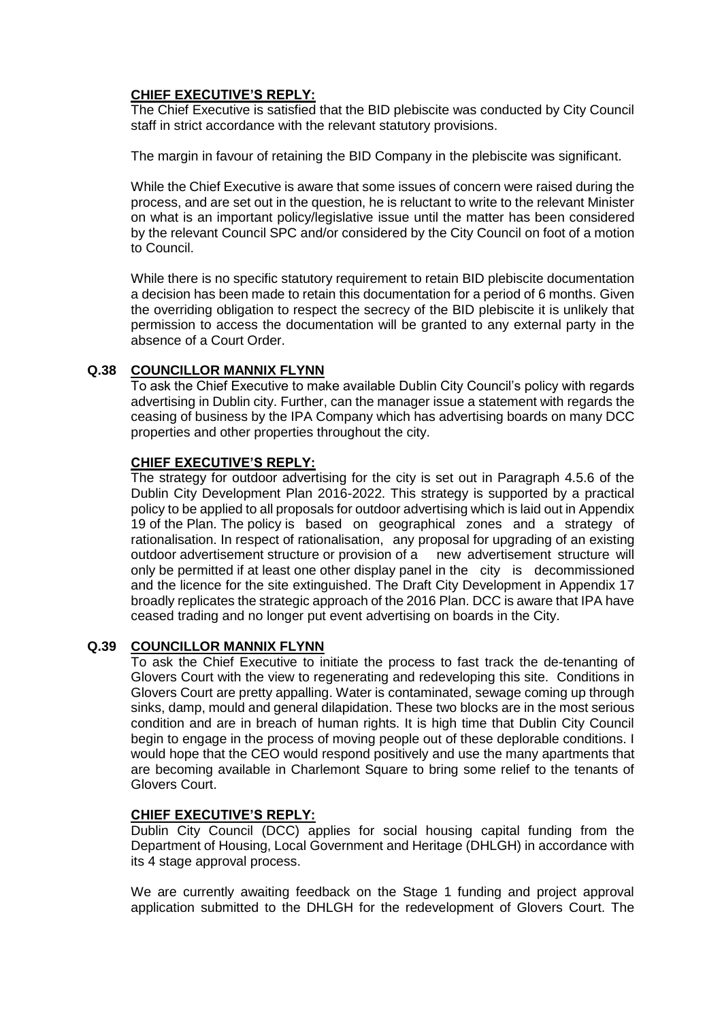The Chief Executive is satisfied that the BID plebiscite was conducted by City Council staff in strict accordance with the relevant statutory provisions.

The margin in favour of retaining the BID Company in the plebiscite was significant.

While the Chief Executive is aware that some issues of concern were raised during the process, and are set out in the question, he is reluctant to write to the relevant Minister on what is an important policy/legislative issue until the matter has been considered by the relevant Council SPC and/or considered by the City Council on foot of a motion to Council.

While there is no specific statutory requirement to retain BID plebiscite documentation a decision has been made to retain this documentation for a period of 6 months. Given the overriding obligation to respect the secrecy of the BID plebiscite it is unlikely that permission to access the documentation will be granted to any external party in the absence of a Court Order.

## **Q.38 COUNCILLOR MANNIX FLYNN**

To ask the Chief Executive to make available Dublin City Council's policy with regards advertising in Dublin city. Further, can the manager issue a statement with regards the ceasing of business by the IPA Company which has advertising boards on many DCC properties and other properties throughout the city.

## **CHIEF EXECUTIVE'S REPLY:**

The strategy for outdoor advertising for the city is set out in Paragraph 4.5.6 of the Dublin City Development Plan 2016-2022. This strategy is supported by a practical policy to be applied to all proposals for outdoor advertising which is laid out in Appendix 19 of the Plan. The policy is based on geographical zones and a strategy of rationalisation. In respect of rationalisation, any proposal for upgrading of an existing outdoor advertisement structure or provision of a new advertisement structure will only be permitted if at least one other display panel in the city is decommissioned and the licence for the site extinguished. The Draft City Development in Appendix 17 broadly replicates the strategic approach of the 2016 Plan. DCC is aware that IPA have ceased trading and no longer put event advertising on boards in the City.

## **Q.39 COUNCILLOR MANNIX FLYNN**

To ask the Chief Executive to initiate the process to fast track the de-tenanting of Glovers Court with the view to regenerating and redeveloping this site. Conditions in Glovers Court are pretty appalling. Water is contaminated, sewage coming up through sinks, damp, mould and general dilapidation. These two blocks are in the most serious condition and are in breach of human rights. It is high time that Dublin City Council begin to engage in the process of moving people out of these deplorable conditions. I would hope that the CEO would respond positively and use the many apartments that are becoming available in Charlemont Square to bring some relief to the tenants of Glovers Court.

## **CHIEF EXECUTIVE'S REPLY:**

Dublin City Council (DCC) applies for social housing capital funding from the Department of Housing, Local Government and Heritage (DHLGH) in accordance with its 4 stage approval process.

We are currently awaiting feedback on the Stage 1 funding and project approval application submitted to the DHLGH for the redevelopment of Glovers Court. The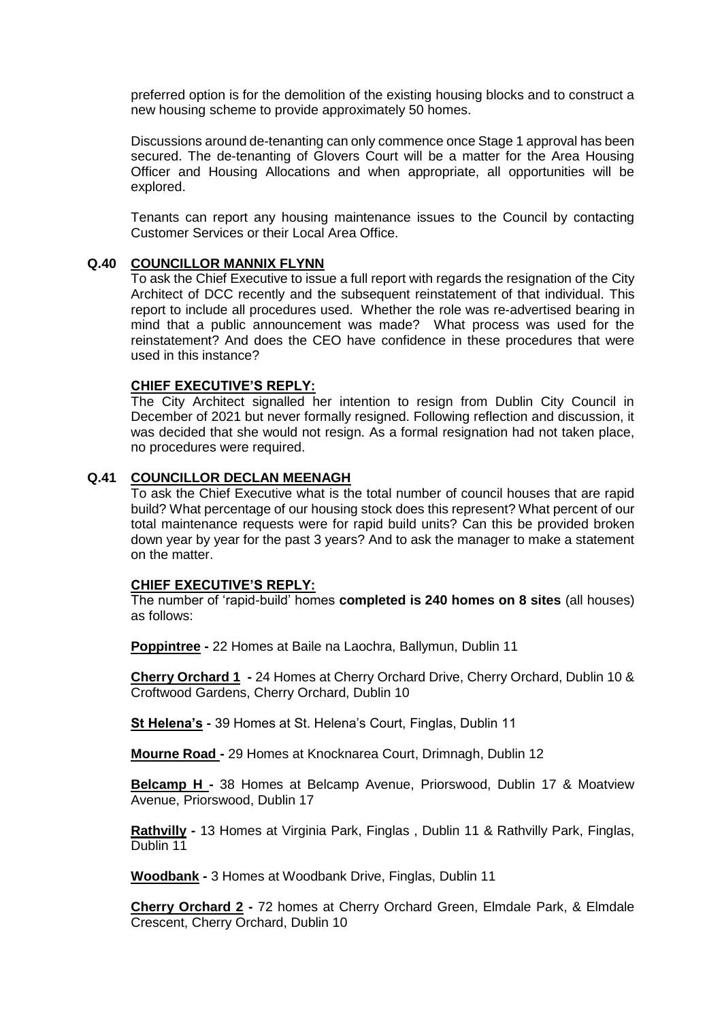preferred option is for the demolition of the existing housing blocks and to construct a new housing scheme to provide approximately 50 homes.

Discussions around de-tenanting can only commence once Stage 1 approval has been secured. The de-tenanting of Glovers Court will be a matter for the Area Housing Officer and Housing Allocations and when appropriate, all opportunities will be explored.

Tenants can report any housing maintenance issues to the Council by contacting Customer Services or their Local Area Office.

## **Q.40 COUNCILLOR MANNIX FLYNN**

To ask the Chief Executive to issue a full report with regards the resignation of the City Architect of DCC recently and the subsequent reinstatement of that individual. This report to include all procedures used. Whether the role was re-advertised bearing in mind that a public announcement was made? What process was used for the reinstatement? And does the CEO have confidence in these procedures that were used in this instance?

## **CHIEF EXECUTIVE'S REPLY:**

The City Architect signalled her intention to resign from Dublin City Council in December of 2021 but never formally resigned. Following reflection and discussion, it was decided that she would not resign. As a formal resignation had not taken place, no procedures were required.

## **Q.41 COUNCILLOR DECLAN MEENAGH**

To ask the Chief Executive what is the total number of council houses that are rapid build? What percentage of our housing stock does this represent? What percent of our total maintenance requests were for rapid build units? Can this be provided broken down year by year for the past 3 years? And to ask the manager to make a statement on the matter.

### **CHIEF EXECUTIVE'S REPLY:**

The number of 'rapid-build' homes **completed is 240 homes on 8 sites** (all houses) as follows:

**Poppintree -** 22 Homes at Baile na Laochra, Ballymun, Dublin 11

**Cherry Orchard 1 -** 24 Homes at Cherry Orchard Drive, Cherry Orchard, Dublin 10 & Croftwood Gardens, Cherry Orchard, Dublin 10

**St Helena's -** 39 Homes at St. Helena's Court, Finglas, Dublin 11

**Mourne Road -** 29 Homes at Knocknarea Court, Drimnagh, Dublin 12

**Belcamp H -** 38 Homes at Belcamp Avenue, Priorswood, Dublin 17 & Moatview Avenue, Priorswood, Dublin 17

**Rathvilly -** 13 Homes at Virginia Park, Finglas , Dublin 11 & Rathvilly Park, Finglas, Dublin 11

**Woodbank -** 3 Homes at Woodbank Drive, Finglas, Dublin 11

**Cherry Orchard 2 -** 72 homes at Cherry Orchard Green, Elmdale Park, & Elmdale Crescent, Cherry Orchard, Dublin 10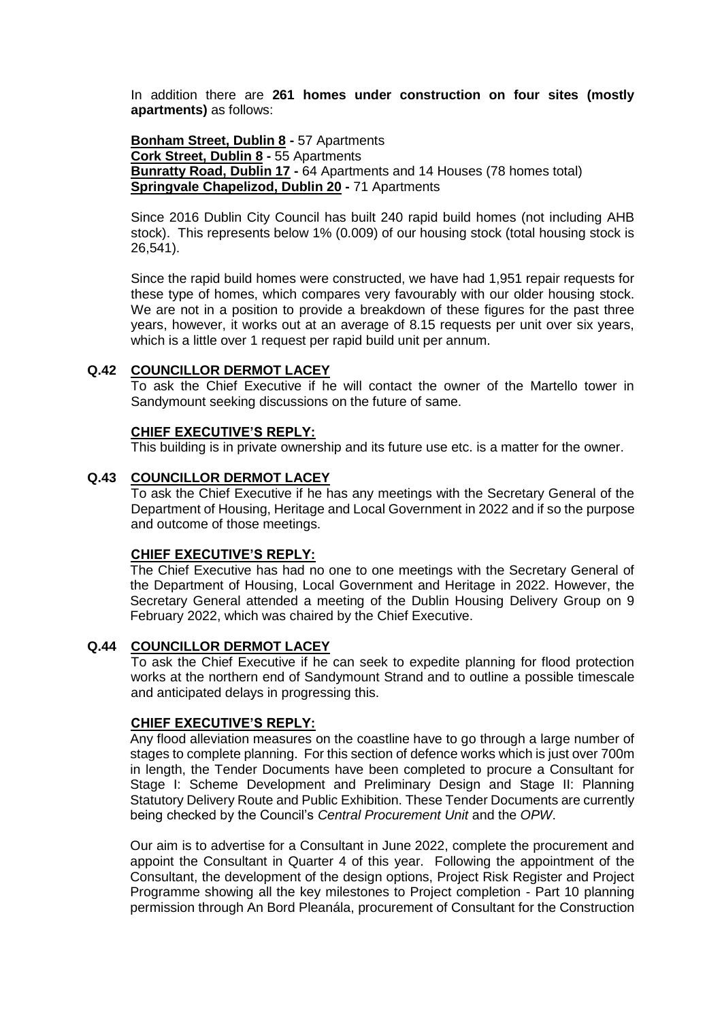In addition there are **261 homes under construction on four sites (mostly apartments)** as follows:

**Bonham Street, Dublin 8 -** 57 Apartments **Cork Street, Dublin 8 -** 55 Apartments **Bunratty Road, Dublin 17 -** 64 Apartments and 14 Houses (78 homes total) **Springvale Chapelizod, Dublin 20 -** 71 Apartments

Since 2016 Dublin City Council has built 240 rapid build homes (not including AHB stock). This represents below 1% (0.009) of our housing stock (total housing stock is 26,541).

Since the rapid build homes were constructed, we have had 1,951 repair requests for these type of homes, which compares very favourably with our older housing stock. We are not in a position to provide a breakdown of these figures for the past three years, however, it works out at an average of 8.15 requests per unit over six years, which is a little over 1 request per rapid build unit per annum.

### **Q.42 COUNCILLOR DERMOT LACEY**

To ask the Chief Executive if he will contact the owner of the Martello tower in Sandymount seeking discussions on the future of same.

## **CHIEF EXECUTIVE'S REPLY:**

This building is in private ownership and its future use etc. is a matter for the owner.

## **Q.43 COUNCILLOR DERMOT LACEY**

To ask the Chief Executive if he has any meetings with the Secretary General of the Department of Housing, Heritage and Local Government in 2022 and if so the purpose and outcome of those meetings.

## **CHIEF EXECUTIVE'S REPLY:**

The Chief Executive has had no one to one meetings with the Secretary General of the Department of Housing, Local Government and Heritage in 2022. However, the Secretary General attended a meeting of the Dublin Housing Delivery Group on 9 February 2022, which was chaired by the Chief Executive.

## **Q.44 COUNCILLOR DERMOT LACEY**

To ask the Chief Executive if he can seek to expedite planning for flood protection works at the northern end of Sandymount Strand and to outline a possible timescale and anticipated delays in progressing this.

### **CHIEF EXECUTIVE'S REPLY:**

Any flood alleviation measures on the coastline have to go through a large number of stages to complete planning. For this section of defence works which is just over 700m in length, the Tender Documents have been completed to procure a Consultant for Stage I: Scheme Development and Preliminary Design and Stage II: Planning Statutory Delivery Route and Public Exhibition. These Tender Documents are currently being checked by the Council's *Central Procurement Unit* and the *OPW*.

Our aim is to advertise for a Consultant in June 2022, complete the procurement and appoint the Consultant in Quarter 4 of this year. Following the appointment of the Consultant, the development of the design options, Project Risk Register and Project Programme showing all the key milestones to Project completion - Part 10 planning permission through An Bord Pleanála, procurement of Consultant for the Construction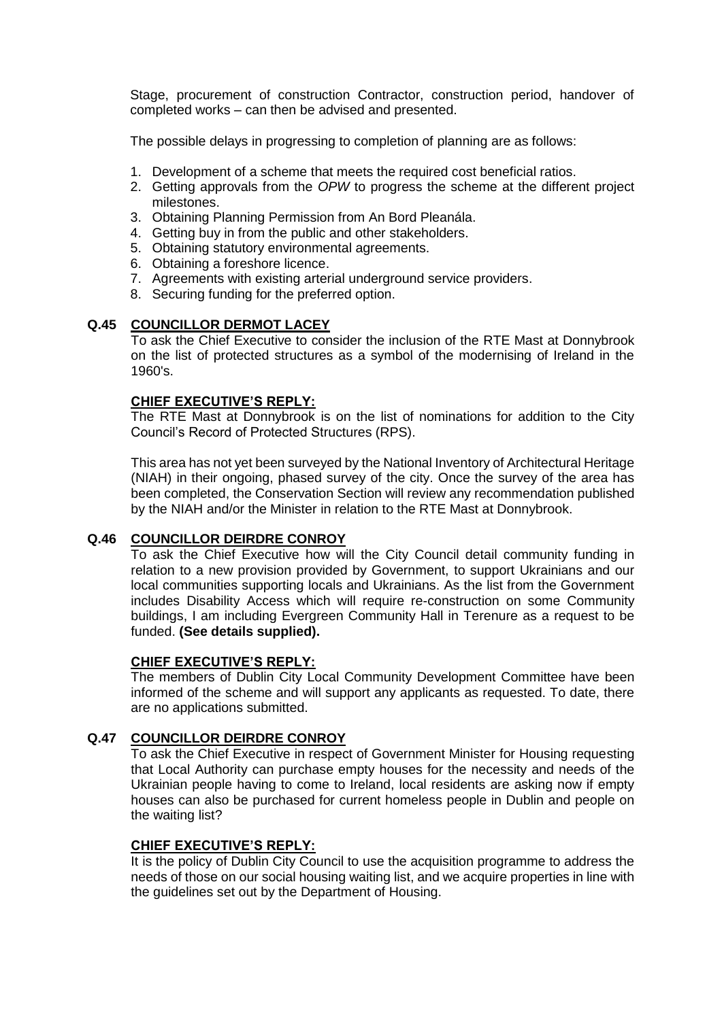Stage, procurement of construction Contractor, construction period, handover of completed works – can then be advised and presented.

The possible delays in progressing to completion of planning are as follows:

- 1. Development of a scheme that meets the required cost beneficial ratios.
- 2. Getting approvals from the *OPW* to progress the scheme at the different project milestones.
- 3. Obtaining Planning Permission from An Bord Pleanála.
- 4. Getting buy in from the public and other stakeholders.
- 5. Obtaining statutory environmental agreements.
- 6. Obtaining a foreshore licence.
- 7. Agreements with existing arterial underground service providers.
- 8. Securing funding for the preferred option.

## **Q.45 COUNCILLOR DERMOT LACEY**

To ask the Chief Executive to consider the inclusion of the RTE Mast at Donnybrook on the list of protected structures as a symbol of the modernising of Ireland in the 1960's.

## **CHIEF EXECUTIVE'S REPLY:**

The RTE Mast at Donnybrook is on the list of nominations for addition to the City Council's Record of Protected Structures (RPS).

This area has not yet been surveyed by the National Inventory of Architectural Heritage (NIAH) in their ongoing, phased survey of the city. Once the survey of the area has been completed, the Conservation Section will review any recommendation published by the NIAH and/or the Minister in relation to the RTE Mast at Donnybrook.

## **Q.46 COUNCILLOR DEIRDRE CONROY**

To ask the Chief Executive how will the City Council detail community funding in relation to a new provision provided by Government, to support Ukrainians and our local communities supporting locals and Ukrainians. As the list from the Government includes Disability Access which will require re-construction on some Community buildings, I am including Evergreen Community Hall in Terenure as a request to be funded. **(See details supplied).**

### **CHIEF EXECUTIVE'S REPLY:**

The members of Dublin City Local Community Development Committee have been informed of the scheme and will support any applicants as requested. To date, there are no applications submitted.

## **Q.47 COUNCILLOR DEIRDRE CONROY**

To ask the Chief Executive in respect of Government Minister for Housing requesting that Local Authority can purchase empty houses for the necessity and needs of the Ukrainian people having to come to Ireland, local residents are asking now if empty houses can also be purchased for current homeless people in Dublin and people on the waiting list?

## **CHIEF EXECUTIVE'S REPLY:**

It is the policy of Dublin City Council to use the acquisition programme to address the needs of those on our social housing waiting list, and we acquire properties in line with the guidelines set out by the Department of Housing.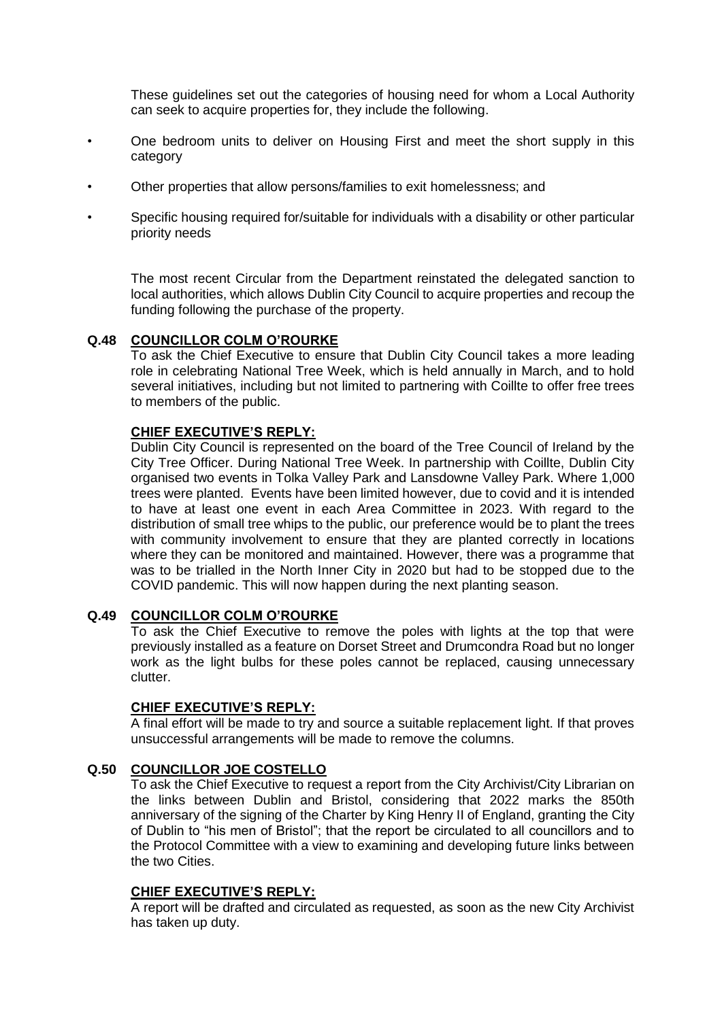These guidelines set out the categories of housing need for whom a Local Authority can seek to acquire properties for, they include the following.

- One bedroom units to deliver on Housing First and meet the short supply in this category
- Other properties that allow persons/families to exit homelessness; and
- Specific housing required for/suitable for individuals with a disability or other particular priority needs

The most recent Circular from the Department reinstated the delegated sanction to local authorities, which allows Dublin City Council to acquire properties and recoup the funding following the purchase of the property.

# **Q.48 COUNCILLOR COLM O'ROURKE**

To ask the Chief Executive to ensure that Dublin City Council takes a more leading role in celebrating National Tree Week, which is held annually in March, and to hold several initiatives, including but not limited to partnering with Coillte to offer free trees to members of the public.

## **CHIEF EXECUTIVE'S REPLY:**

Dublin City Council is represented on the board of the Tree Council of Ireland by the City Tree Officer. During National Tree Week. In partnership with Coillte, Dublin City organised two events in Tolka Valley Park and Lansdowne Valley Park. Where 1,000 trees were planted. Events have been limited however, due to covid and it is intended to have at least one event in each Area Committee in 2023. With regard to the distribution of small tree whips to the public, our preference would be to plant the trees with community involvement to ensure that they are planted correctly in locations where they can be monitored and maintained. However, there was a programme that was to be trialled in the North Inner City in 2020 but had to be stopped due to the COVID pandemic. This will now happen during the next planting season.

### **Q.49 COUNCILLOR COLM O'ROURKE**

To ask the Chief Executive to remove the poles with lights at the top that were previously installed as a feature on Dorset Street and Drumcondra Road but no longer work as the light bulbs for these poles cannot be replaced, causing unnecessary clutter.

### **CHIEF EXECUTIVE'S REPLY:**

A final effort will be made to try and source a suitable replacement light. If that proves unsuccessful arrangements will be made to remove the columns.

## **Q.50 COUNCILLOR JOE COSTELLO**

To ask the Chief Executive to request a report from the City Archivist/City Librarian on the links between Dublin and Bristol, considering that 2022 marks the 850th anniversary of the signing of the Charter by King Henry II of England, granting the City of Dublin to "his men of Bristol"; that the report be circulated to all councillors and to the Protocol Committee with a view to examining and developing future links between the two Cities.

### **CHIEF EXECUTIVE'S REPLY:**

A report will be drafted and circulated as requested, as soon as the new City Archivist has taken up duty.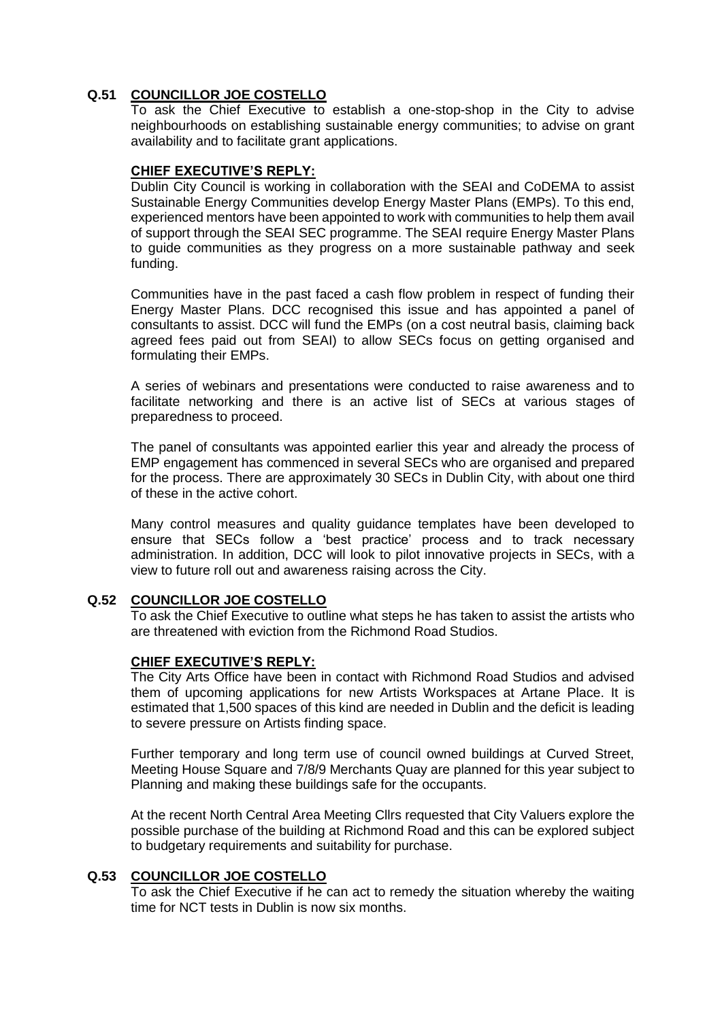# **Q.51 COUNCILLOR JOE COSTELLO**

To ask the Chief Executive to establish a one-stop-shop in the City to advise neighbourhoods on establishing sustainable energy communities; to advise on grant availability and to facilitate grant applications.

## **CHIEF EXECUTIVE'S REPLY:**

Dublin City Council is working in collaboration with the SEAI and CoDEMA to assist Sustainable Energy Communities develop Energy Master Plans (EMPs). To this end, experienced mentors have been appointed to work with communities to help them avail of support through the SEAI SEC programme. The SEAI require Energy Master Plans to guide communities as they progress on a more sustainable pathway and seek funding.

Communities have in the past faced a cash flow problem in respect of funding their Energy Master Plans. DCC recognised this issue and has appointed a panel of consultants to assist. DCC will fund the EMPs (on a cost neutral basis, claiming back agreed fees paid out from SEAI) to allow SECs focus on getting organised and formulating their EMPs.

A series of webinars and presentations were conducted to raise awareness and to facilitate networking and there is an active list of SECs at various stages of preparedness to proceed.

The panel of consultants was appointed earlier this year and already the process of EMP engagement has commenced in several SECs who are organised and prepared for the process. There are approximately 30 SECs in Dublin City, with about one third of these in the active cohort.

Many control measures and quality guidance templates have been developed to ensure that SECs follow a 'best practice' process and to track necessary administration. In addition, DCC will look to pilot innovative projects in SECs, with a view to future roll out and awareness raising across the City.

### **Q.52 COUNCILLOR JOE COSTELLO**

To ask the Chief Executive to outline what steps he has taken to assist the artists who are threatened with eviction from the Richmond Road Studios.

### **CHIEF EXECUTIVE'S REPLY:**

The City Arts Office have been in contact with Richmond Road Studios and advised them of upcoming applications for new Artists Workspaces at Artane Place. It is estimated that 1,500 spaces of this kind are needed in Dublin and the deficit is leading to severe pressure on Artists finding space.

Further temporary and long term use of council owned buildings at Curved Street, Meeting House Square and 7/8/9 Merchants Quay are planned for this year subject to Planning and making these buildings safe for the occupants.

At the recent North Central Area Meeting Cllrs requested that City Valuers explore the possible purchase of the building at Richmond Road and this can be explored subject to budgetary requirements and suitability for purchase.

## **Q.53 COUNCILLOR JOE COSTELLO**

To ask the Chief Executive if he can act to remedy the situation whereby the waiting time for NCT tests in Dublin is now six months.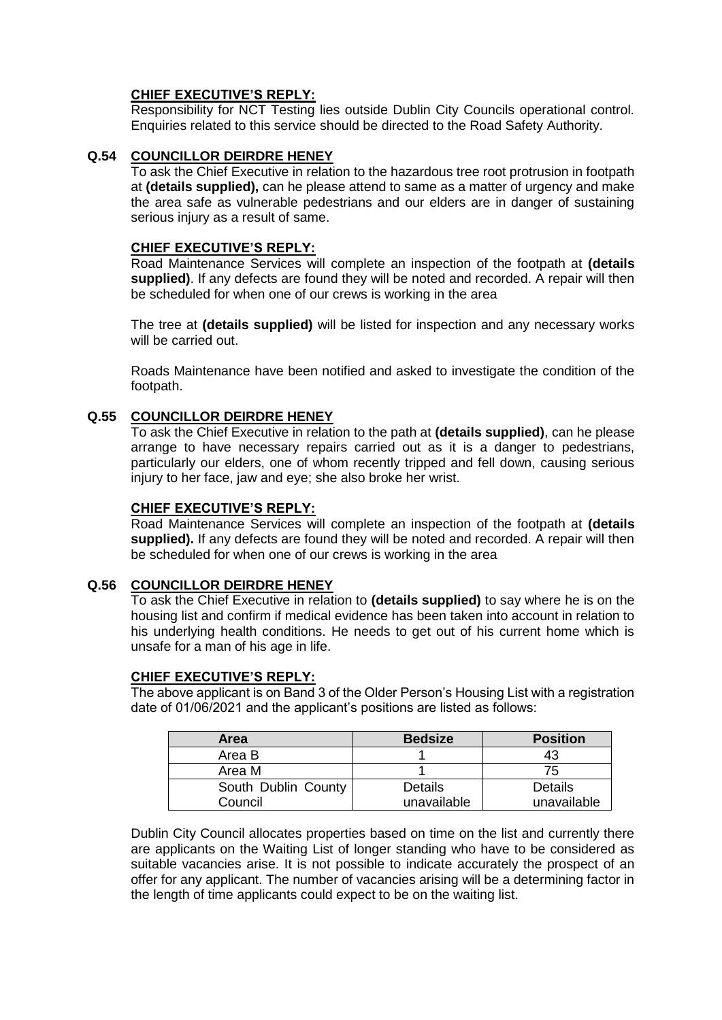Responsibility for NCT Testing lies outside Dublin City Councils operational control. Enquiries related to this service should be directed to the Road Safety Authority.

# **Q.54 COUNCILLOR DEIRDRE HENEY**

To ask the Chief Executive in relation to the hazardous tree root protrusion in footpath at **(details supplied),** can he please attend to same as a matter of urgency and make the area safe as vulnerable pedestrians and our elders are in danger of sustaining serious injury as a result of same.

## **CHIEF EXECUTIVE'S REPLY:**

Road Maintenance Services will complete an inspection of the footpath at **(details supplied)**. If any defects are found they will be noted and recorded. A repair will then be scheduled for when one of our crews is working in the area

The tree at **(details supplied)** will be listed for inspection and any necessary works will be carried out.

Roads Maintenance have been notified and asked to investigate the condition of the footpath.

## **Q.55 COUNCILLOR DEIRDRE HENEY**

To ask the Chief Executive in relation to the path at **(details supplied)**, can he please arrange to have necessary repairs carried out as it is a danger to pedestrians, particularly our elders, one of whom recently tripped and fell down, causing serious injury to her face, jaw and eye; she also broke her wrist.

#### **CHIEF EXECUTIVE'S REPLY:**

Road Maintenance Services will complete an inspection of the footpath at **(details**  supplied). If any defects are found they will be noted and recorded. A repair will then be scheduled for when one of our crews is working in the area

### **Q.56 COUNCILLOR DEIRDRE HENEY**

To ask the Chief Executive in relation to **(details supplied)** to say where he is on the housing list and confirm if medical evidence has been taken into account in relation to his underlying health conditions. He needs to get out of his current home which is unsafe for a man of his age in life.

### **CHIEF EXECUTIVE'S REPLY:**

The above applicant is on Band 3 of the Older Person's Housing List with a registration date of 01/06/2021 and the applicant's positions are listed as follows:

| Area                | <b>Bedsize</b> | <b>Position</b> |
|---------------------|----------------|-----------------|
| Area B              |                | 43              |
| Area M              |                | 75              |
| South Dublin County | Details        | Details         |
| Council             | unavailable    | unavailable     |

Dublin City Council allocates properties based on time on the list and currently there are applicants on the Waiting List of longer standing who have to be considered as suitable vacancies arise. It is not possible to indicate accurately the prospect of an offer for any applicant. The number of vacancies arising will be a determining factor in the length of time applicants could expect to be on the waiting list.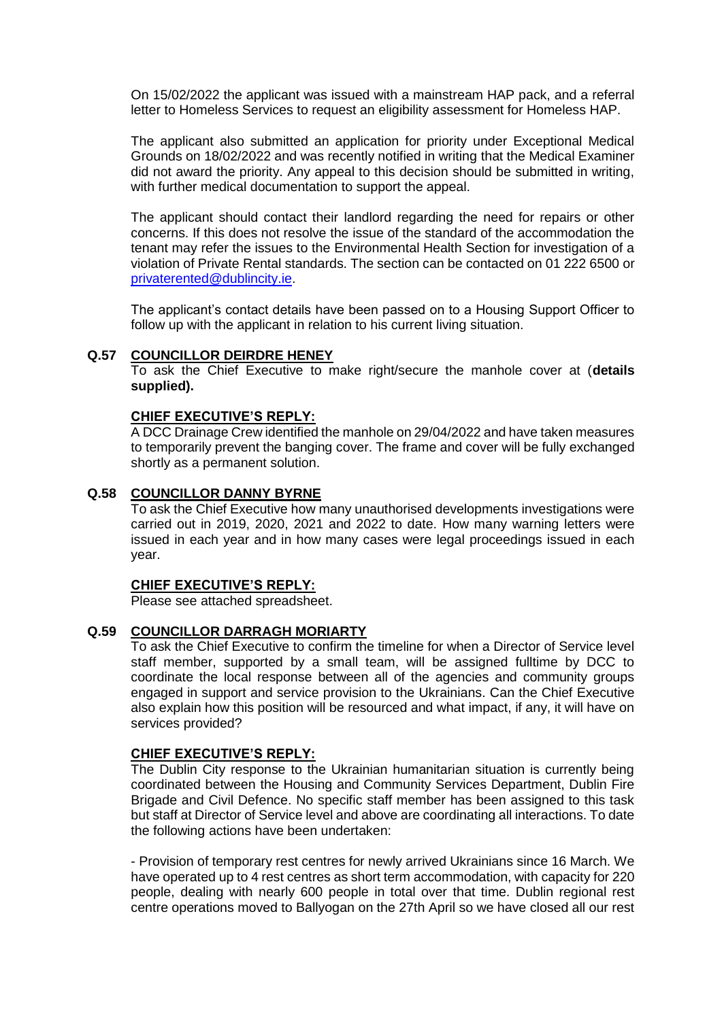On 15/02/2022 the applicant was issued with a mainstream HAP pack, and a referral letter to Homeless Services to request an eligibility assessment for Homeless HAP.

The applicant also submitted an application for priority under Exceptional Medical Grounds on 18/02/2022 and was recently notified in writing that the Medical Examiner did not award the priority. Any appeal to this decision should be submitted in writing, with further medical documentation to support the appeal.

The applicant should contact their landlord regarding the need for repairs or other concerns. If this does not resolve the issue of the standard of the accommodation the tenant may refer the issues to the Environmental Health Section for investigation of a violation of Private Rental standards. The section can be contacted on 01 222 6500 or [privaterented@dublincity.ie.](mailto:privaterented@dublincity.ie)

The applicant's contact details have been passed on to a Housing Support Officer to follow up with the applicant in relation to his current living situation.

### **Q.57 COUNCILLOR DEIRDRE HENEY**

To ask the Chief Executive to make right/secure the manhole cover at (**details supplied).**

#### **CHIEF EXECUTIVE'S REPLY:**

A DCC Drainage Crew identified the manhole on 29/04/2022 and have taken measures to temporarily prevent the banging cover. The frame and cover will be fully exchanged shortly as a permanent solution.

### **Q.58 COUNCILLOR DANNY BYRNE**

To ask the Chief Executive how many unauthorised developments investigations were carried out in 2019, 2020, 2021 and 2022 to date. How many warning letters were issued in each year and in how many cases were legal proceedings issued in each year.

### **CHIEF EXECUTIVE'S REPLY:**

Please see attached spreadsheet.

## **Q.59 COUNCILLOR DARRAGH MORIARTY**

To ask the Chief Executive to confirm the timeline for when a Director of Service level staff member, supported by a small team, will be assigned fulltime by DCC to coordinate the local response between all of the agencies and community groups engaged in support and service provision to the Ukrainians. Can the Chief Executive also explain how this position will be resourced and what impact, if any, it will have on services provided?

### **CHIEF EXECUTIVE'S REPLY:**

The Dublin City response to the Ukrainian humanitarian situation is currently being coordinated between the Housing and Community Services Department, Dublin Fire Brigade and Civil Defence. No specific staff member has been assigned to this task but staff at Director of Service level and above are coordinating all interactions. To date the following actions have been undertaken:

- Provision of temporary rest centres for newly arrived Ukrainians since 16 March. We have operated up to 4 rest centres as short term accommodation, with capacity for 220 people, dealing with nearly 600 people in total over that time. Dublin regional rest centre operations moved to Ballyogan on the 27th April so we have closed all our rest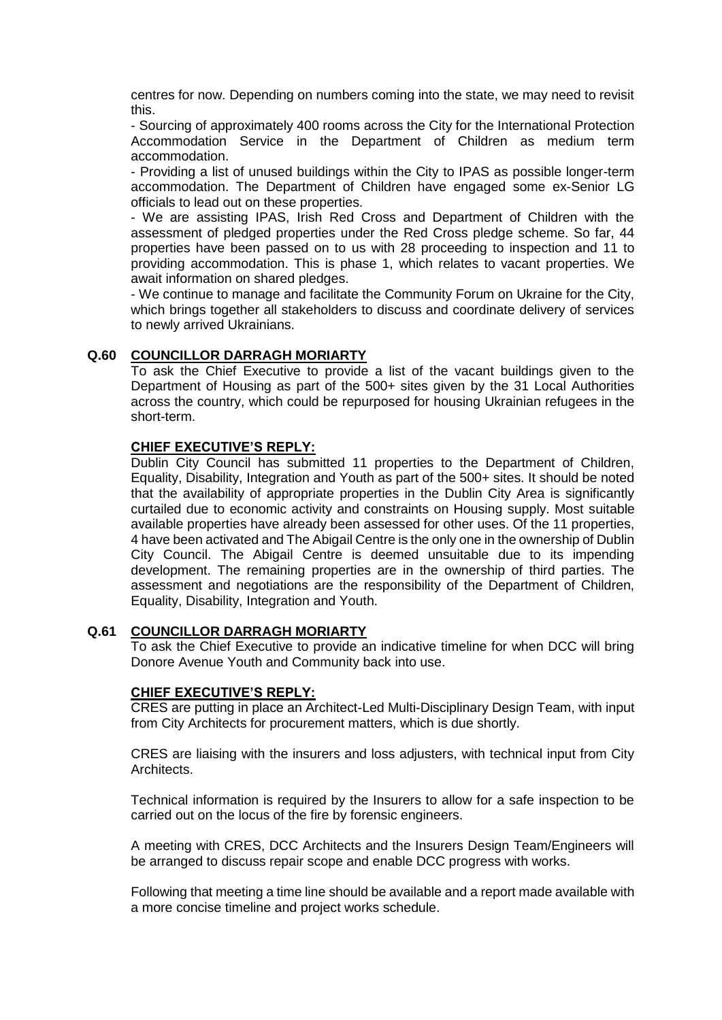centres for now. Depending on numbers coming into the state, we may need to revisit this.

- Sourcing of approximately 400 rooms across the City for the International Protection Accommodation Service in the Department of Children as medium term accommodation.

- Providing a list of unused buildings within the City to IPAS as possible longer-term accommodation. The Department of Children have engaged some ex-Senior LG officials to lead out on these properties.

- We are assisting IPAS, Irish Red Cross and Department of Children with the assessment of pledged properties under the Red Cross pledge scheme. So far, 44 properties have been passed on to us with 28 proceeding to inspection and 11 to providing accommodation. This is phase 1, which relates to vacant properties. We await information on shared pledges.

- We continue to manage and facilitate the Community Forum on Ukraine for the City, which brings together all stakeholders to discuss and coordinate delivery of services to newly arrived Ukrainians.

## **Q.60 COUNCILLOR DARRAGH MORIARTY**

To ask the Chief Executive to provide a list of the vacant buildings given to the Department of Housing as part of the 500+ sites given by the 31 Local Authorities across the country, which could be repurposed for housing Ukrainian refugees in the short-term.

## **CHIEF EXECUTIVE'S REPLY:**

Dublin City Council has submitted 11 properties to the Department of Children, Equality, Disability, Integration and Youth as part of the 500+ sites. It should be noted that the availability of appropriate properties in the Dublin City Area is significantly curtailed due to economic activity and constraints on Housing supply. Most suitable available properties have already been assessed for other uses. Of the 11 properties, 4 have been activated and The Abigail Centre is the only one in the ownership of Dublin City Council. The Abigail Centre is deemed unsuitable due to its impending development. The remaining properties are in the ownership of third parties. The assessment and negotiations are the responsibility of the Department of Children, Equality, Disability, Integration and Youth.

### **Q.61 COUNCILLOR DARRAGH MORIARTY**

To ask the Chief Executive to provide an indicative timeline for when DCC will bring Donore Avenue Youth and Community back into use.

### **CHIEF EXECUTIVE'S REPLY:**

CRES are putting in place an Architect-Led Multi-Disciplinary Design Team, with input from City Architects for procurement matters, which is due shortly.

CRES are liaising with the insurers and loss adjusters, with technical input from City Architects.

Technical information is required by the Insurers to allow for a safe inspection to be carried out on the locus of the fire by forensic engineers.

A meeting with CRES, DCC Architects and the Insurers Design Team/Engineers will be arranged to discuss repair scope and enable DCC progress with works.

Following that meeting a time line should be available and a report made available with a more concise timeline and project works schedule.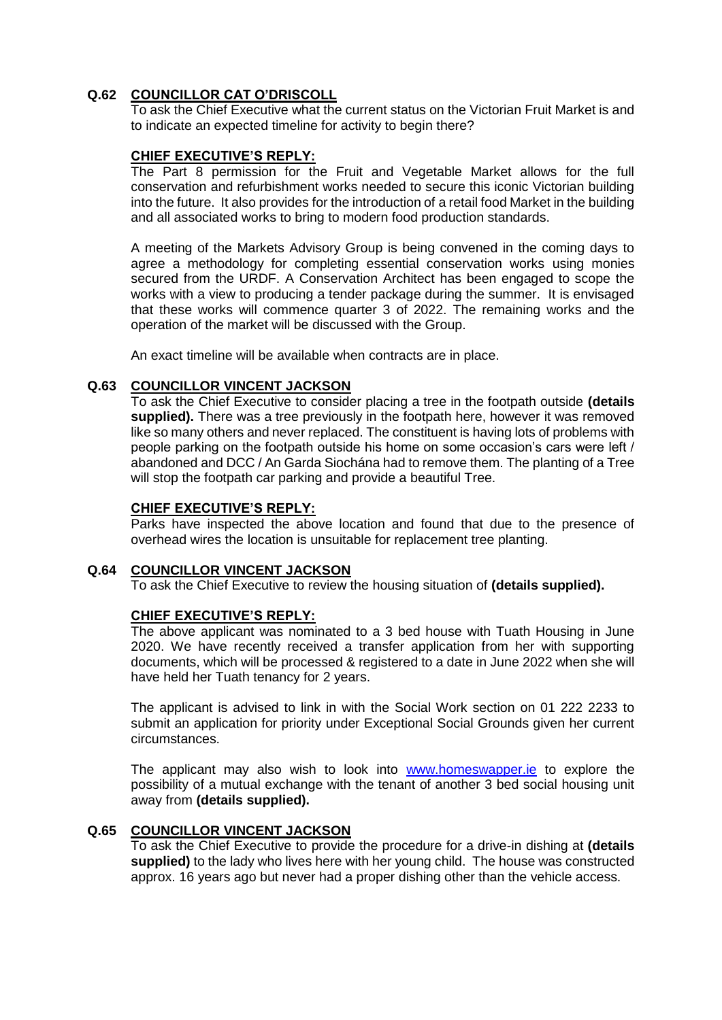# **Q.62 COUNCILLOR CAT O'DRISCOLL**

To ask the Chief Executive what the current status on the Victorian Fruit Market is and to indicate an expected timeline for activity to begin there?

## **CHIEF EXECUTIVE'S REPLY:**

The Part 8 permission for the Fruit and Vegetable Market allows for the full conservation and refurbishment works needed to secure this iconic Victorian building into the future. It also provides for the introduction of a retail food Market in the building and all associated works to bring to modern food production standards.

A meeting of the Markets Advisory Group is being convened in the coming days to agree a methodology for completing essential conservation works using monies secured from the URDF. A Conservation Architect has been engaged to scope the works with a view to producing a tender package during the summer. It is envisaged that these works will commence quarter 3 of 2022. The remaining works and the operation of the market will be discussed with the Group.

An exact timeline will be available when contracts are in place.

## **Q.63 COUNCILLOR VINCENT JACKSON**

To ask the Chief Executive to consider placing a tree in the footpath outside **(details supplied).** There was a tree previously in the footpath here, however it was removed like so many others and never replaced. The constituent is having lots of problems with people parking on the footpath outside his home on some occasion's cars were left / abandoned and DCC / An Garda Siochána had to remove them. The planting of a Tree will stop the footpath car parking and provide a beautiful Tree.

### **CHIEF EXECUTIVE'S REPLY:**

Parks have inspected the above location and found that due to the presence of overhead wires the location is unsuitable for replacement tree planting.

### **Q.64 COUNCILLOR VINCENT JACKSON**

To ask the Chief Executive to review the housing situation of **(details supplied).**

### **CHIEF EXECUTIVE'S REPLY:**

The above applicant was nominated to a 3 bed house with Tuath Housing in June 2020. We have recently received a transfer application from her with supporting documents, which will be processed & registered to a date in June 2022 when she will have held her Tuath tenancy for 2 years.

The applicant is advised to link in with the Social Work section on 01 222 2233 to submit an application for priority under Exceptional Social Grounds given her current circumstances.

The applicant may also wish to look into [www.homeswapper.ie](http://www.homeswapper.ie/) to explore the possibility of a mutual exchange with the tenant of another 3 bed social housing unit away from **(details supplied).**

### **Q.65 COUNCILLOR VINCENT JACKSON**

To ask the Chief Executive to provide the procedure for a drive-in dishing at **(details supplied)** to the lady who lives here with her young child. The house was constructed approx. 16 years ago but never had a proper dishing other than the vehicle access.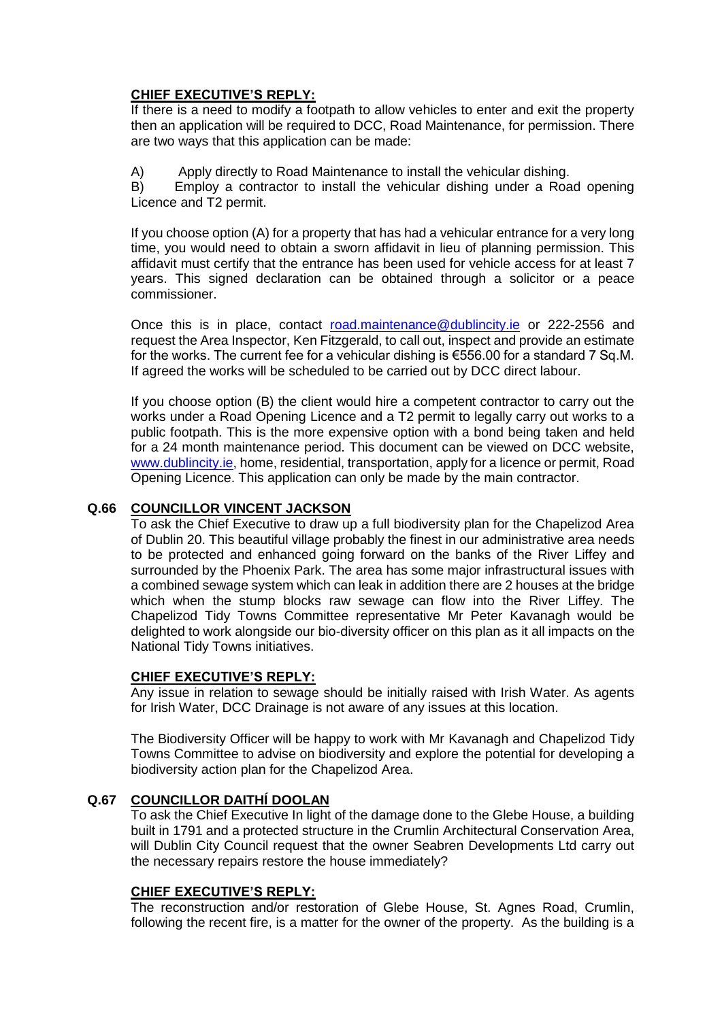If there is a need to modify a footpath to allow vehicles to enter and exit the property then an application will be required to DCC, Road Maintenance, for permission. There are two ways that this application can be made:

A) Apply directly to Road Maintenance to install the vehicular dishing.

B) Employ a contractor to install the vehicular dishing under a Road opening Licence and T2 permit.

If you choose option (A) for a property that has had a vehicular entrance for a very long time, you would need to obtain a sworn affidavit in lieu of planning permission. This affidavit must certify that the entrance has been used for vehicle access for at least 7 years. This signed declaration can be obtained through a solicitor or a peace commissioner.

Once this is in place, contact [road.maintenance@dublincity.ie](mailto:road.maintenance@dublincity.ie) or 222-2556 and request the Area Inspector, Ken Fitzgerald, to call out, inspect and provide an estimate for the works. The current fee for a vehicular dishing is €556.00 for a standard 7 Sq.M. If agreed the works will be scheduled to be carried out by DCC direct labour.

If you choose option (B) the client would hire a competent contractor to carry out the works under a Road Opening Licence and a T2 permit to legally carry out works to a public footpath. This is the more expensive option with a bond being taken and held for a 24 month maintenance period. This document can be viewed on DCC website, [www.dublincity.ie,](http://www.dublincity.ie/) home, residential, transportation, apply for a licence or permit, Road Opening Licence. This application can only be made by the main contractor.

## **Q.66 COUNCILLOR VINCENT JACKSON**

To ask the Chief Executive to draw up a full biodiversity plan for the Chapelizod Area of Dublin 20. This beautiful village probably the finest in our administrative area needs to be protected and enhanced going forward on the banks of the River Liffey and surrounded by the Phoenix Park. The area has some major infrastructural issues with a combined sewage system which can leak in addition there are 2 houses at the bridge which when the stump blocks raw sewage can flow into the River Liffey. The Chapelizod Tidy Towns Committee representative Mr Peter Kavanagh would be delighted to work alongside our bio-diversity officer on this plan as it all impacts on the National Tidy Towns initiatives.

### **CHIEF EXECUTIVE'S REPLY:**

Any issue in relation to sewage should be initially raised with Irish Water. As agents for Irish Water, DCC Drainage is not aware of any issues at this location.

The Biodiversity Officer will be happy to work with Mr Kavanagh and Chapelizod Tidy Towns Committee to advise on biodiversity and explore the potential for developing a biodiversity action plan for the Chapelizod Area.

## **Q.67 COUNCILLOR DAITHÍ DOOLAN**

To ask the Chief Executive In light of the damage done to the Glebe House, a building built in 1791 and a protected structure in the Crumlin Architectural Conservation Area, will Dublin City Council request that the owner Seabren Developments Ltd carry out the necessary repairs restore the house immediately?

### **CHIEF EXECUTIVE'S REPLY:**

The reconstruction and/or restoration of Glebe House, St. Agnes Road, Crumlin, following the recent fire, is a matter for the owner of the property. As the building is a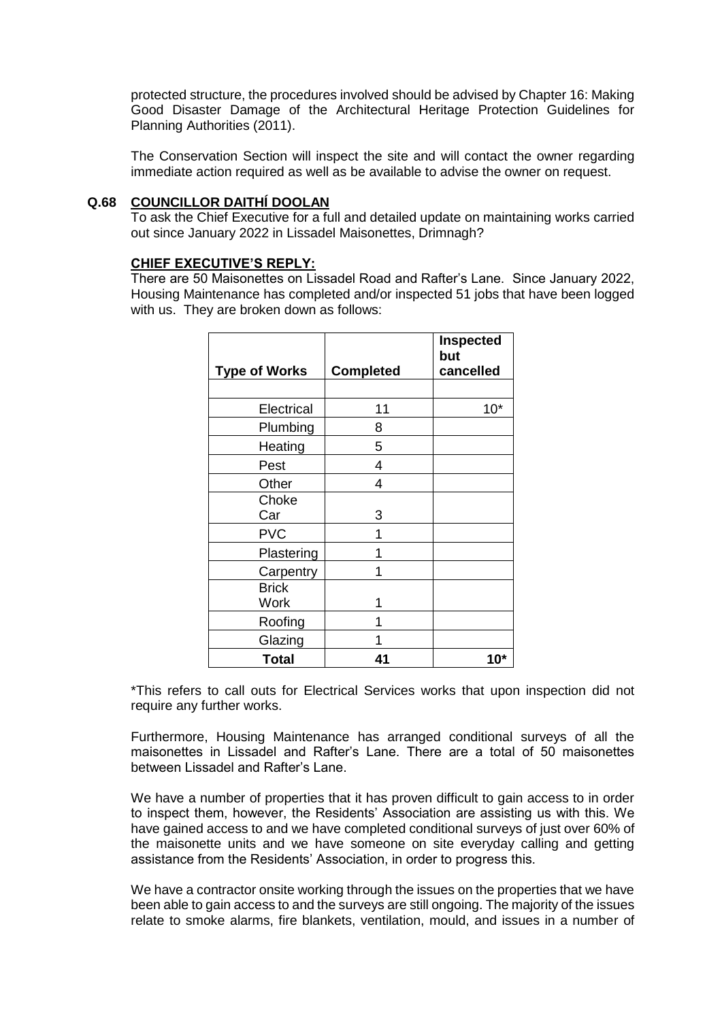protected structure, the procedures involved should be advised by Chapter 16: Making Good Disaster Damage of the Architectural Heritage Protection Guidelines for Planning Authorities (2011).

The Conservation Section will inspect the site and will contact the owner regarding immediate action required as well as be available to advise the owner on request.

### **Q.68 COUNCILLOR DAITHÍ DOOLAN**

To ask the Chief Executive for a full and detailed update on maintaining works carried out since January 2022 in Lissadel Maisonettes, Drimnagh?

## **CHIEF EXECUTIVE'S REPLY:**

There are 50 Maisonettes on Lissadel Road and Rafter's Lane. Since January 2022, Housing Maintenance has completed and/or inspected 51 jobs that have been logged with us. They are broken down as follows:

| <b>Type of Works</b> | <b>Completed</b> | <b>Inspected</b><br>but<br>cancelled |
|----------------------|------------------|--------------------------------------|
|                      |                  |                                      |
| Electrical           | 11               | $10*$                                |
| Plumbing             | 8                |                                      |
| Heating              | 5                |                                      |
| Pest                 | 4                |                                      |
| Other                | 4                |                                      |
| Choke                |                  |                                      |
| Car                  | 3                |                                      |
| <b>PVC</b>           | 1                |                                      |
| Plastering           | 1                |                                      |
| Carpentry            | 1                |                                      |
| <b>Brick</b>         |                  |                                      |
| Work                 |                  |                                      |
| Roofing              |                  |                                      |
| Glazing              |                  |                                      |
| <b>Total</b>         | 41               | 10*                                  |

\*This refers to call outs for Electrical Services works that upon inspection did not require any further works.

Furthermore, Housing Maintenance has arranged conditional surveys of all the maisonettes in Lissadel and Rafter's Lane. There are a total of 50 maisonettes between Lissadel and Rafter's Lane.

We have a number of properties that it has proven difficult to gain access to in order to inspect them, however, the Residents' Association are assisting us with this. We have gained access to and we have completed conditional surveys of just over 60% of the maisonette units and we have someone on site everyday calling and getting assistance from the Residents' Association, in order to progress this.

We have a contractor onsite working through the issues on the properties that we have been able to gain access to and the surveys are still ongoing. The majority of the issues relate to smoke alarms, fire blankets, ventilation, mould, and issues in a number of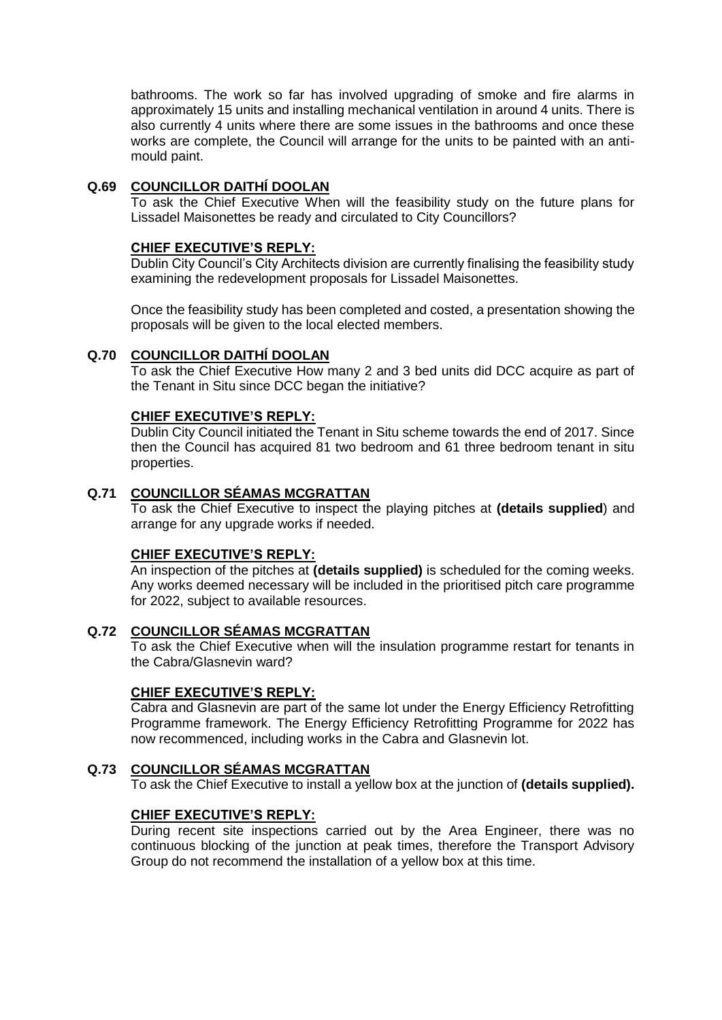bathrooms. The work so far has involved upgrading of smoke and fire alarms in approximately 15 units and installing mechanical ventilation in around 4 units. There is also currently 4 units where there are some issues in the bathrooms and once these works are complete, the Council will arrange for the units to be painted with an antimould paint.

## **Q.69 COUNCILLOR DAITHÍ DOOLAN**

To ask the Chief Executive When will the feasibility study on the future plans for Lissadel Maisonettes be ready and circulated to City Councillors?

## **CHIEF EXECUTIVE'S REPLY:**

Dublin City Council's City Architects division are currently finalising the feasibility study examining the redevelopment proposals for Lissadel Maisonettes.

Once the feasibility study has been completed and costed, a presentation showing the proposals will be given to the local elected members.

# **Q.70 COUNCILLOR DAITHÍ DOOLAN**

To ask the Chief Executive How many 2 and 3 bed units did DCC acquire as part of the Tenant in Situ since DCC began the initiative?

## **CHIEF EXECUTIVE'S REPLY:**

Dublin City Council initiated the Tenant in Situ scheme towards the end of 2017. Since then the Council has acquired 81 two bedroom and 61 three bedroom tenant in situ properties.

## **Q.71 COUNCILLOR SÉAMAS MCGRATTAN**

To ask the Chief Executive to inspect the playing pitches at **(details supplied**) and arrange for any upgrade works if needed.

## **CHIEF EXECUTIVE'S REPLY:**

An inspection of the pitches at **(details supplied)** is scheduled for the coming weeks. Any works deemed necessary will be included in the prioritised pitch care programme for 2022, subject to available resources.

## **Q.72 COUNCILLOR SÉAMAS MCGRATTAN**

To ask the Chief Executive when will the insulation programme restart for tenants in the Cabra/Glasnevin ward?

### **CHIEF EXECUTIVE'S REPLY:**

Cabra and Glasnevin are part of the same lot under the Energy Efficiency Retrofitting Programme framework. The Energy Efficiency Retrofitting Programme for 2022 has now recommenced, including works in the Cabra and Glasnevin lot.

## **Q.73 COUNCILLOR SÉAMAS MCGRATTAN**

To ask the Chief Executive to install a yellow box at the junction of **(details supplied).**

## **CHIEF EXECUTIVE'S REPLY:**

During recent site inspections carried out by the Area Engineer, there was no continuous blocking of the junction at peak times, therefore the Transport Advisory Group do not recommend the installation of a yellow box at this time.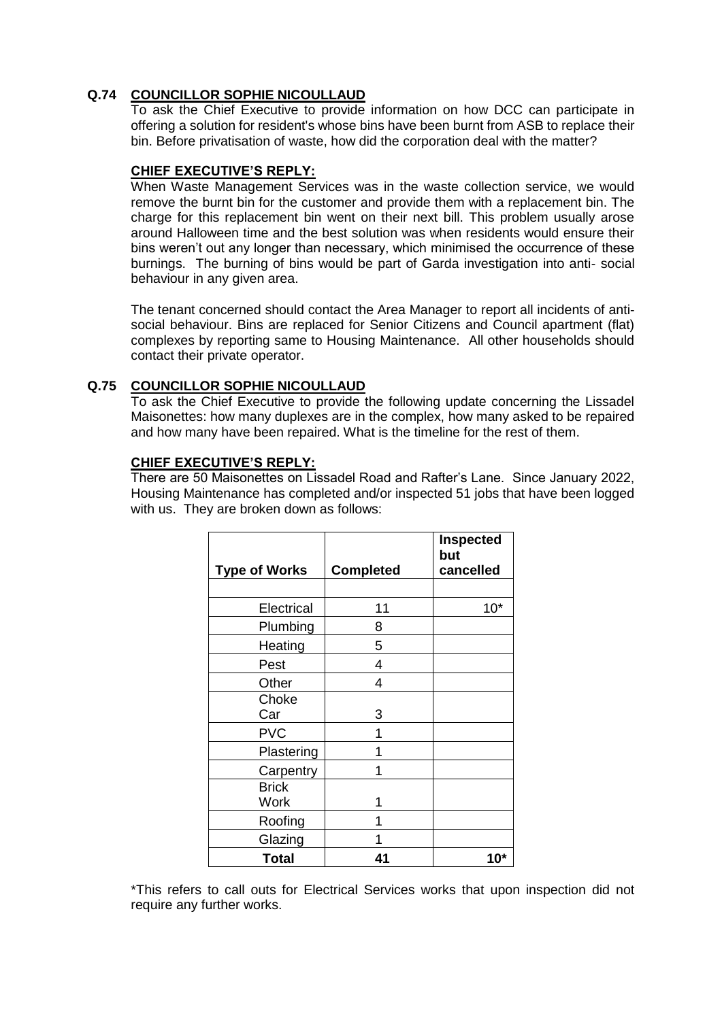# **Q.74 COUNCILLOR SOPHIE NICOULLAUD**

To ask the Chief Executive to provide information on how DCC can participate in offering a solution for resident's whose bins have been burnt from ASB to replace their bin. Before privatisation of waste, how did the corporation deal with the matter?

## **CHIEF EXECUTIVE'S REPLY:**

When Waste Management Services was in the waste collection service, we would remove the burnt bin for the customer and provide them with a replacement bin. The charge for this replacement bin went on their next bill. This problem usually arose around Halloween time and the best solution was when residents would ensure their bins weren't out any longer than necessary, which minimised the occurrence of these burnings. The burning of bins would be part of Garda investigation into anti- social behaviour in any given area.

The tenant concerned should contact the Area Manager to report all incidents of antisocial behaviour. Bins are replaced for Senior Citizens and Council apartment (flat) complexes by reporting same to Housing Maintenance. All other households should contact their private operator.

## **Q.75 COUNCILLOR SOPHIE NICOULLAUD**

To ask the Chief Executive to provide the following update concerning the Lissadel Maisonettes: how many duplexes are in the complex, how many asked to be repaired and how many have been repaired. What is the timeline for the rest of them.

## **CHIEF EXECUTIVE'S REPLY:**

There are 50 Maisonettes on Lissadel Road and Rafter's Lane. Since January 2022, Housing Maintenance has completed and/or inspected 51 jobs that have been logged with us. They are broken down as follows:

| <b>Type of Works</b>        | <b>Completed</b> | <b>Inspected</b><br>but<br>cancelled |
|-----------------------------|------------------|--------------------------------------|
|                             |                  |                                      |
| Electrical                  | 11               | $10*$                                |
| Plumbing                    | 8                |                                      |
| Heating                     | 5                |                                      |
| Pest                        | 4                |                                      |
| Other                       | 4                |                                      |
| Choke<br>Car                | 3                |                                      |
| <b>PVC</b>                  |                  |                                      |
| Plastering                  |                  |                                      |
| Carpentry                   |                  |                                      |
| <b>Brick</b><br><b>Work</b> |                  |                                      |
| Roofing                     |                  |                                      |
| Glazing                     |                  |                                      |
| <b>Total</b>                | 41               | $10^*$                               |

\*This refers to call outs for Electrical Services works that upon inspection did not require any further works.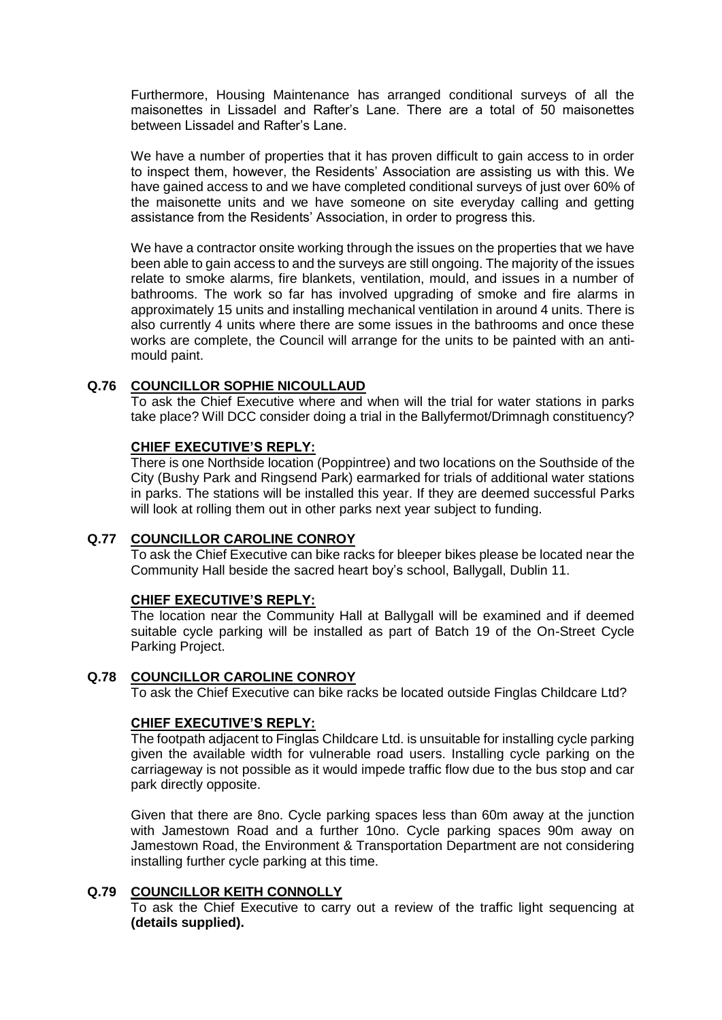Furthermore, Housing Maintenance has arranged conditional surveys of all the maisonettes in Lissadel and Rafter's Lane. There are a total of 50 maisonettes between Lissadel and Rafter's Lane.

We have a number of properties that it has proven difficult to gain access to in order to inspect them, however, the Residents' Association are assisting us with this. We have gained access to and we have completed conditional surveys of just over 60% of the maisonette units and we have someone on site everyday calling and getting assistance from the Residents' Association, in order to progress this.

We have a contractor onsite working through the issues on the properties that we have been able to gain access to and the surveys are still ongoing. The majority of the issues relate to smoke alarms, fire blankets, ventilation, mould, and issues in a number of bathrooms. The work so far has involved upgrading of smoke and fire alarms in approximately 15 units and installing mechanical ventilation in around 4 units. There is also currently 4 units where there are some issues in the bathrooms and once these works are complete, the Council will arrange for the units to be painted with an antimould paint.

## **Q.76 COUNCILLOR SOPHIE NICOULLAUD**

To ask the Chief Executive where and when will the trial for water stations in parks take place? Will DCC consider doing a trial in the Ballyfermot/Drimnagh constituency?

## **CHIEF EXECUTIVE'S REPLY:**

There is one Northside location (Poppintree) and two locations on the Southside of the City (Bushy Park and Ringsend Park) earmarked for trials of additional water stations in parks. The stations will be installed this year. If they are deemed successful Parks will look at rolling them out in other parks next year subject to funding.

## **Q.77 COUNCILLOR CAROLINE CONROY**

To ask the Chief Executive can bike racks for bleeper bikes please be located near the Community Hall beside the sacred heart boy's school, Ballygall, Dublin 11.

### **CHIEF EXECUTIVE'S REPLY:**

The location near the Community Hall at Ballygall will be examined and if deemed suitable cycle parking will be installed as part of Batch 19 of the On-Street Cycle Parking Project.

## **Q.78 COUNCILLOR CAROLINE CONROY**

To ask the Chief Executive can bike racks be located outside Finglas Childcare Ltd?

## **CHIEF EXECUTIVE'S REPLY:**

The footpath adjacent to Finglas Childcare Ltd. is unsuitable for installing cycle parking given the available width for vulnerable road users. Installing cycle parking on the carriageway is not possible as it would impede traffic flow due to the bus stop and car park directly opposite.

Given that there are 8no. Cycle parking spaces less than 60m away at the junction with Jamestown Road and a further 10no. Cycle parking spaces 90m away on Jamestown Road, the Environment & Transportation Department are not considering installing further cycle parking at this time.

### **Q.79 COUNCILLOR KEITH CONNOLLY**

To ask the Chief Executive to carry out a review of the traffic light sequencing at **(details supplied).**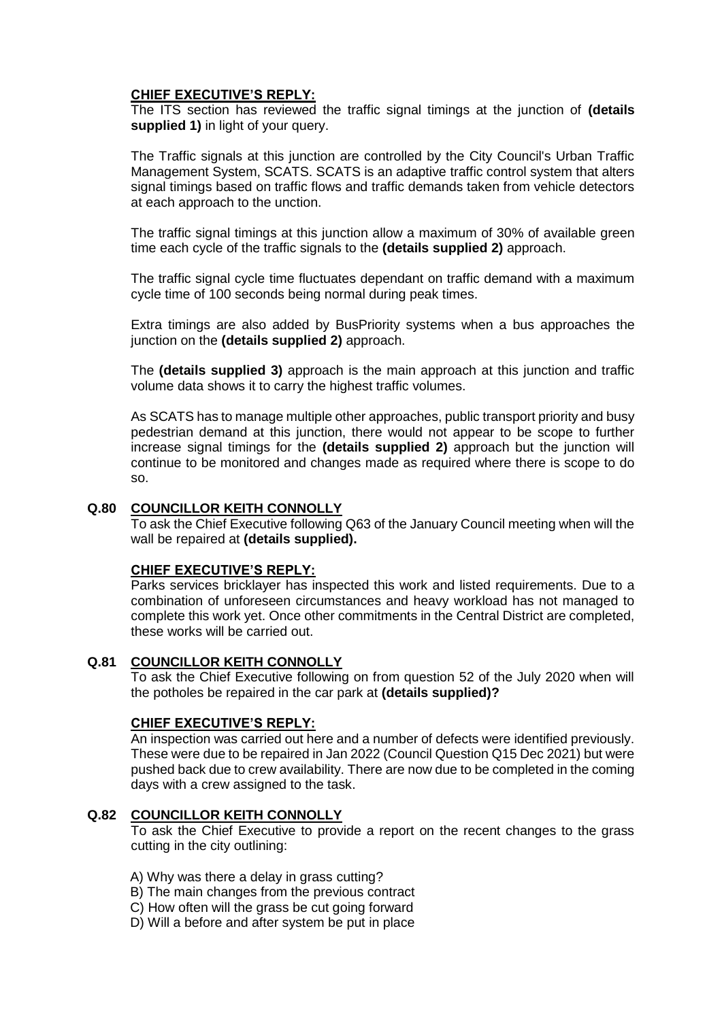The ITS section has reviewed the traffic signal timings at the junction of **(details supplied 1)** in light of your query.

The Traffic signals at this junction are controlled by the City Council's Urban Traffic Management System, SCATS. SCATS is an adaptive traffic control system that alters signal timings based on traffic flows and traffic demands taken from vehicle detectors at each approach to the unction.

The traffic signal timings at this junction allow a maximum of 30% of available green time each cycle of the traffic signals to the **(details supplied 2)** approach.

The traffic signal cycle time fluctuates dependant on traffic demand with a maximum cycle time of 100 seconds being normal during peak times.

Extra timings are also added by BusPriority systems when a bus approaches the junction on the **(details supplied 2)** approach.

The **(details supplied 3)** approach is the main approach at this junction and traffic volume data shows it to carry the highest traffic volumes.

As SCATS has to manage multiple other approaches, public transport priority and busy pedestrian demand at this junction, there would not appear to be scope to further increase signal timings for the **(details supplied 2)** approach but the junction will continue to be monitored and changes made as required where there is scope to do so.

### **Q.80 COUNCILLOR KEITH CONNOLLY**

To ask the Chief Executive following Q63 of the January Council meeting when will the wall be repaired at **(details supplied).**

### **CHIEF EXECUTIVE'S REPLY:**

Parks services bricklayer has inspected this work and listed requirements. Due to a combination of unforeseen circumstances and heavy workload has not managed to complete this work yet. Once other commitments in the Central District are completed, these works will be carried out.

### **Q.81 COUNCILLOR KEITH CONNOLLY**

To ask the Chief Executive following on from question 52 of the July 2020 when will the potholes be repaired in the car park at **(details supplied)?**

### **CHIEF EXECUTIVE'S REPLY:**

An inspection was carried out here and a number of defects were identified previously. These were due to be repaired in Jan 2022 (Council Question Q15 Dec 2021) but were pushed back due to crew availability. There are now due to be completed in the coming days with a crew assigned to the task.

### **Q.82 COUNCILLOR KEITH CONNOLLY**

To ask the Chief Executive to provide a report on the recent changes to the grass cutting in the city outlining:

- A) Why was there a delay in grass cutting?
- B) The main changes from the previous contract
- C) How often will the grass be cut going forward
- D) Will a before and after system be put in place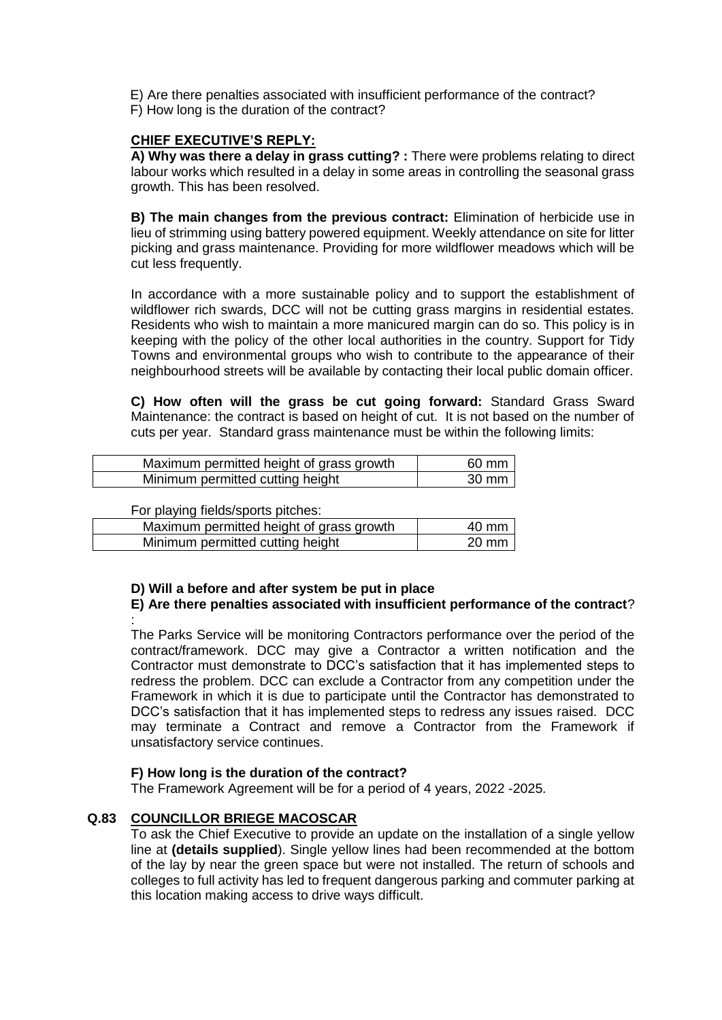E) Are there penalties associated with insufficient performance of the contract? F) How long is the duration of the contract?

# **CHIEF EXECUTIVE'S REPLY:**

**A) Why was there a delay in grass cutting? :** There were problems relating to direct labour works which resulted in a delay in some areas in controlling the seasonal grass growth. This has been resolved.

**B) The main changes from the previous contract:** Elimination of herbicide use in lieu of strimming using battery powered equipment. Weekly attendance on site for litter picking and grass maintenance. Providing for more wildflower meadows which will be cut less frequently.

In accordance with a more sustainable policy and to support the establishment of wildflower rich swards, DCC will not be cutting grass margins in residential estates. Residents who wish to maintain a more manicured margin can do so. This policy is in keeping with the policy of the other local authorities in the country. Support for Tidy Towns and environmental groups who wish to contribute to the appearance of their neighbourhood streets will be available by contacting their local public domain officer.

**C) How often will the grass be cut going forward:** Standard Grass Sward Maintenance: the contract is based on height of cut. It is not based on the number of cuts per year. Standard grass maintenance must be within the following limits:

| Maximum permitted height of grass growth | 60 mm  |
|------------------------------------------|--------|
| Minimum permitted cutting height         | .30 mm |

For playing fields/sports pitches:

| Maximum permitted height of grass growth | $40 \text{ mm}$ |
|------------------------------------------|-----------------|
| Minimum permitted cutting height         | $20 \text{ mm}$ |

## **D) Will a before and after system be put in place**

## **E) Are there penalties associated with insufficient performance of the contract**? :

The Parks Service will be monitoring Contractors performance over the period of the contract/framework. DCC may give a Contractor a written notification and the Contractor must demonstrate to DCC's satisfaction that it has implemented steps to redress the problem. DCC can exclude a Contractor from any competition under the Framework in which it is due to participate until the Contractor has demonstrated to DCC's satisfaction that it has implemented steps to redress any issues raised. DCC may terminate a Contract and remove a Contractor from the Framework if unsatisfactory service continues.

## **F) How long is the duration of the contract?**

The Framework Agreement will be for a period of 4 years, 2022 -2025.

## **Q.83 COUNCILLOR BRIEGE MACOSCAR**

To ask the Chief Executive to provide an update on the installation of a single yellow line at **(details supplied**). Single yellow lines had been recommended at the bottom of the lay by near the green space but were not installed. The return of schools and colleges to full activity has led to frequent dangerous parking and commuter parking at this location making access to drive ways difficult.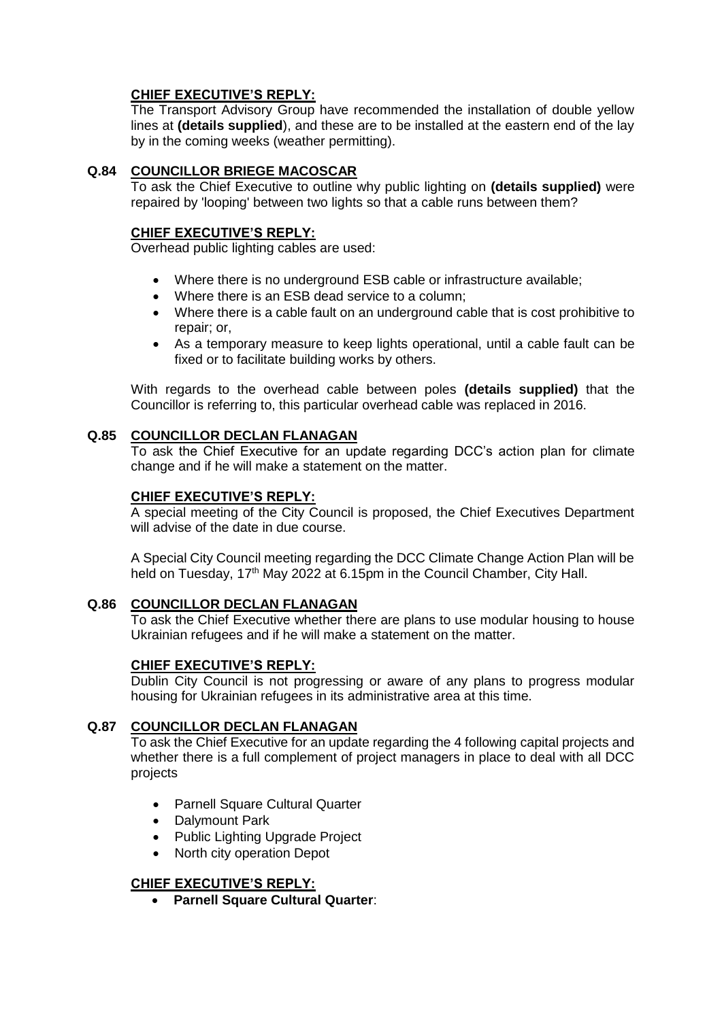The Transport Advisory Group have recommended the installation of double yellow lines at **(details supplied**), and these are to be installed at the eastern end of the lay by in the coming weeks (weather permitting).

# **Q.84 COUNCILLOR BRIEGE MACOSCAR**

To ask the Chief Executive to outline why public lighting on **(details supplied)** were repaired by 'looping' between two lights so that a cable runs between them?

## **CHIEF EXECUTIVE'S REPLY:**

Overhead public lighting cables are used:

- Where there is no underground ESB cable or infrastructure available;
- Where there is an ESB dead service to a column;
- Where there is a cable fault on an underground cable that is cost prohibitive to repair; or,
- As a temporary measure to keep lights operational, until a cable fault can be fixed or to facilitate building works by others.

With regards to the overhead cable between poles **(details supplied)** that the Councillor is referring to, this particular overhead cable was replaced in 2016.

## **Q.85 COUNCILLOR DECLAN FLANAGAN**

To ask the Chief Executive for an update regarding DCC's action plan for climate change and if he will make a statement on the matter.

## **CHIEF EXECUTIVE'S REPLY:**

A special meeting of the City Council is proposed, the Chief Executives Department will advise of the date in due course.

A Special City Council meeting regarding the DCC Climate Change Action Plan will be held on Tuesday, 17<sup>th</sup> May 2022 at 6.15pm in the Council Chamber, City Hall.

## **Q.86 COUNCILLOR DECLAN FLANAGAN**

To ask the Chief Executive whether there are plans to use modular housing to house Ukrainian refugees and if he will make a statement on the matter.

## **CHIEF EXECUTIVE'S REPLY:**

Dublin City Council is not progressing or aware of any plans to progress modular housing for Ukrainian refugees in its administrative area at this time.

## **Q.87 COUNCILLOR DECLAN FLANAGAN**

To ask the Chief Executive for an update regarding the 4 following capital projects and whether there is a full complement of project managers in place to deal with all DCC projects

- Parnell Square Cultural Quarter
- Dalymount Park
- Public Lighting Upgrade Project
- North city operation Depot

## **CHIEF EXECUTIVE'S REPLY:**

**Parnell Square Cultural Quarter**: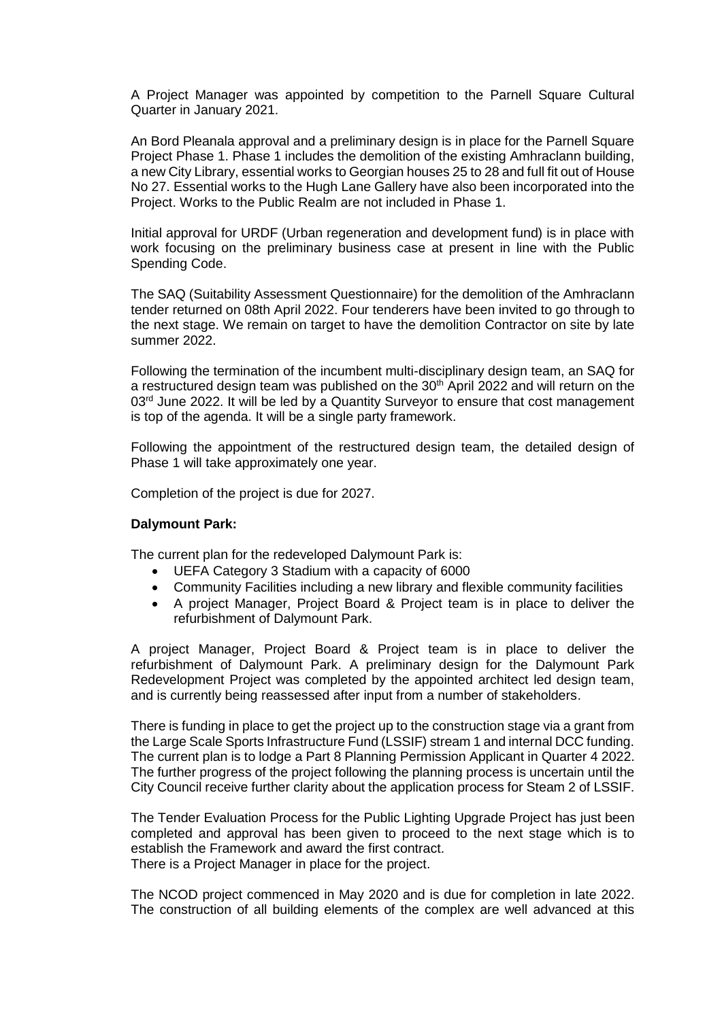A Project Manager was appointed by competition to the Parnell Square Cultural Quarter in January 2021.

An Bord Pleanala approval and a preliminary design is in place for the Parnell Square Project Phase 1. Phase 1 includes the demolition of the existing Amhraclann building, a new City Library, essential works to Georgian houses 25 to 28 and full fit out of House No 27. Essential works to the Hugh Lane Gallery have also been incorporated into the Project. Works to the Public Realm are not included in Phase 1.

Initial approval for URDF (Urban regeneration and development fund) is in place with work focusing on the preliminary business case at present in line with the Public Spending Code.

The SAQ (Suitability Assessment Questionnaire) for the demolition of the Amhraclann tender returned on 08th April 2022. Four tenderers have been invited to go through to the next stage. We remain on target to have the demolition Contractor on site by late summer 2022.

Following the termination of the incumbent multi-disciplinary design team, an SAQ for a restructured design team was published on the  $30<sup>th</sup>$  April 2022 and will return on the  $03<sup>rd</sup>$  June 2022. It will be led by a Quantity Surveyor to ensure that cost management is top of the agenda. It will be a single party framework.

Following the appointment of the restructured design team, the detailed design of Phase 1 will take approximately one year.

Completion of the project is due for 2027.

### **Dalymount Park:**

The current plan for the redeveloped Dalymount Park is:

- UEFA Category 3 Stadium with a capacity of 6000
- Community Facilities including a new library and flexible community facilities
- A project Manager, Project Board & Project team is in place to deliver the refurbishment of Dalymount Park.

A project Manager, Project Board & Project team is in place to deliver the refurbishment of Dalymount Park. A preliminary design for the Dalymount Park Redevelopment Project was completed by the appointed architect led design team, and is currently being reassessed after input from a number of stakeholders.

There is funding in place to get the project up to the construction stage via a grant from the Large Scale Sports Infrastructure Fund (LSSIF) stream 1 and internal DCC funding. The current plan is to lodge a Part 8 Planning Permission Applicant in Quarter 4 2022. The further progress of the project following the planning process is uncertain until the City Council receive further clarity about the application process for Steam 2 of LSSIF.

The Tender Evaluation Process for the Public Lighting Upgrade Project has just been completed and approval has been given to proceed to the next stage which is to establish the Framework and award the first contract. There is a Project Manager in place for the project.

The NCOD project commenced in May 2020 and is due for completion in late 2022. The construction of all building elements of the complex are well advanced at this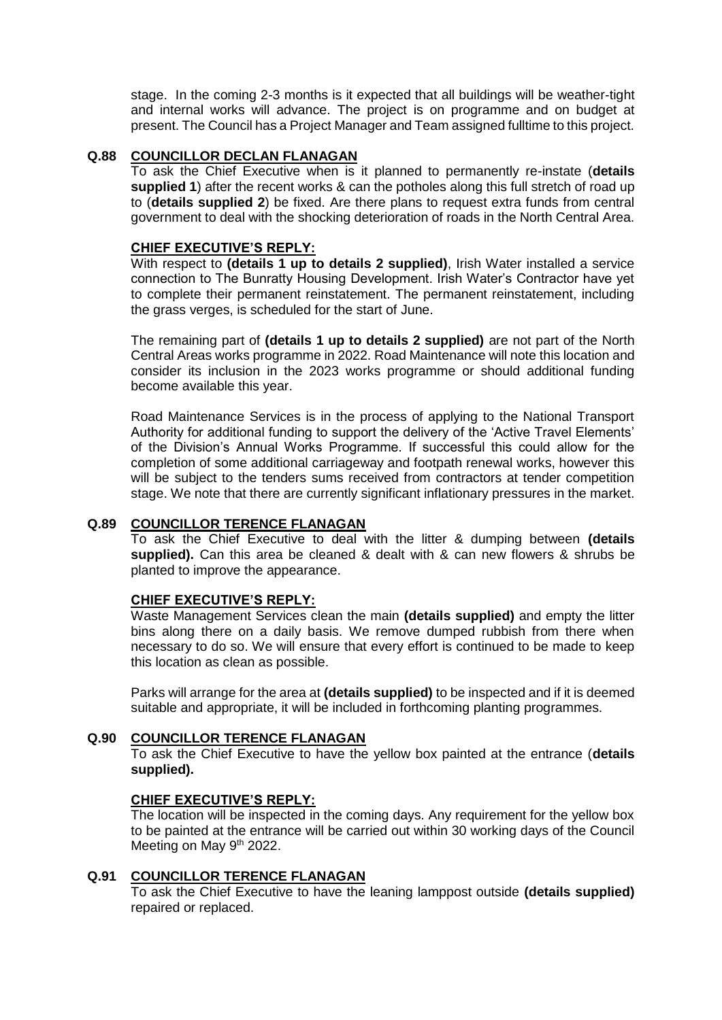stage. In the coming 2-3 months is it expected that all buildings will be weather-tight and internal works will advance. The project is on programme and on budget at present. The Council has a Project Manager and Team assigned fulltime to this project.

### **Q.88 COUNCILLOR DECLAN FLANAGAN**

To ask the Chief Executive when is it planned to permanently re-instate (**details supplied 1**) after the recent works & can the potholes along this full stretch of road up to (**details supplied 2**) be fixed. Are there plans to request extra funds from central government to deal with the shocking deterioration of roads in the North Central Area.

### **CHIEF EXECUTIVE'S REPLY:**

With respect to **(details 1 up to details 2 supplied)**, Irish Water installed a service connection to The Bunratty Housing Development. Irish Water's Contractor have yet to complete their permanent reinstatement. The permanent reinstatement, including the grass verges, is scheduled for the start of June.

The remaining part of **(details 1 up to details 2 supplied)** are not part of the North Central Areas works programme in 2022. Road Maintenance will note this location and consider its inclusion in the 2023 works programme or should additional funding become available this year.

Road Maintenance Services is in the process of applying to the National Transport Authority for additional funding to support the delivery of the 'Active Travel Elements' of the Division's Annual Works Programme. If successful this could allow for the completion of some additional carriageway and footpath renewal works, however this will be subject to the tenders sums received from contractors at tender competition stage. We note that there are currently significant inflationary pressures in the market.

## **Q.89 COUNCILLOR TERENCE FLANAGAN**

To ask the Chief Executive to deal with the litter & dumping between **(details supplied).** Can this area be cleaned & dealt with & can new flowers & shrubs be planted to improve the appearance.

### **CHIEF EXECUTIVE'S REPLY:**

Waste Management Services clean the main **(details supplied)** and empty the litter bins along there on a daily basis. We remove dumped rubbish from there when necessary to do so. We will ensure that every effort is continued to be made to keep this location as clean as possible.

Parks will arrange for the area at **(details supplied)** to be inspected and if it is deemed suitable and appropriate, it will be included in forthcoming planting programmes.

## **Q.90 COUNCILLOR TERENCE FLANAGAN**

To ask the Chief Executive to have the yellow box painted at the entrance (**details supplied).**

### **CHIEF EXECUTIVE'S REPLY:**

The location will be inspected in the coming days. Any requirement for the yellow box to be painted at the entrance will be carried out within 30 working days of the Council Meeting on May 9<sup>th</sup> 2022.

## **Q.91 COUNCILLOR TERENCE FLANAGAN**

To ask the Chief Executive to have the leaning lamppost outside **(details supplied)** repaired or replaced.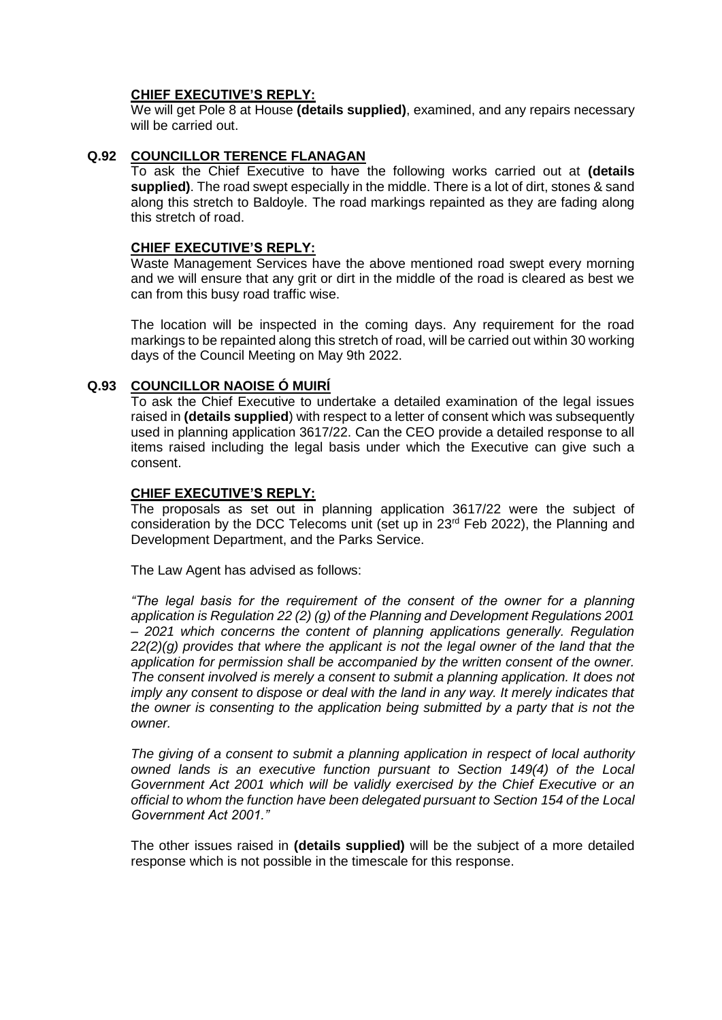We will get Pole 8 at House **(details supplied)**, examined, and any repairs necessary will be carried out.

# **Q.92 COUNCILLOR TERENCE FLANAGAN**

To ask the Chief Executive to have the following works carried out at **(details supplied)**. The road swept especially in the middle. There is a lot of dirt, stones & sand along this stretch to Baldoyle. The road markings repainted as they are fading along this stretch of road.

### **CHIEF EXECUTIVE'S REPLY:**

Waste Management Services have the above mentioned road swept every morning and we will ensure that any grit or dirt in the middle of the road is cleared as best we can from this busy road traffic wise.

The location will be inspected in the coming days. Any requirement for the road markings to be repainted along this stretch of road, will be carried out within 30 working days of the Council Meeting on May 9th 2022.

## **Q.93 COUNCILLOR NAOISE Ó MUIRÍ**

To ask the Chief Executive to undertake a detailed examination of the legal issues raised in **(details supplied**) with respect to a letter of consent which was subsequently used in planning application 3617/22. Can the CEO provide a detailed response to all items raised including the legal basis under which the Executive can give such a consent.

## **CHIEF EXECUTIVE'S REPLY:**

The proposals as set out in planning application 3617/22 were the subject of consideration by the DCC Telecoms unit (set up in 23rd Feb 2022), the Planning and Development Department, and the Parks Service.

The Law Agent has advised as follows:

*"The legal basis for the requirement of the consent of the owner for a planning application is Regulation 22 (2) (g) of the Planning and Development Regulations 2001 – 2021 which concerns the content of planning applications generally. Regulation 22(2)(g) provides that where the applicant is not the legal owner of the land that the application for permission shall be accompanied by the written consent of the owner. The consent involved is merely a consent to submit a planning application. It does not imply any consent to dispose or deal with the land in any way. It merely indicates that the owner is consenting to the application being submitted by a party that is not the owner.* 

*The giving of a consent to submit a planning application in respect of local authority owned lands is an executive function pursuant to Section 149(4) of the Local Government Act 2001 which will be validly exercised by the Chief Executive or an official to whom the function have been delegated pursuant to Section 154 of the Local Government Act 2001."* 

The other issues raised in **(details supplied)** will be the subject of a more detailed response which is not possible in the timescale for this response.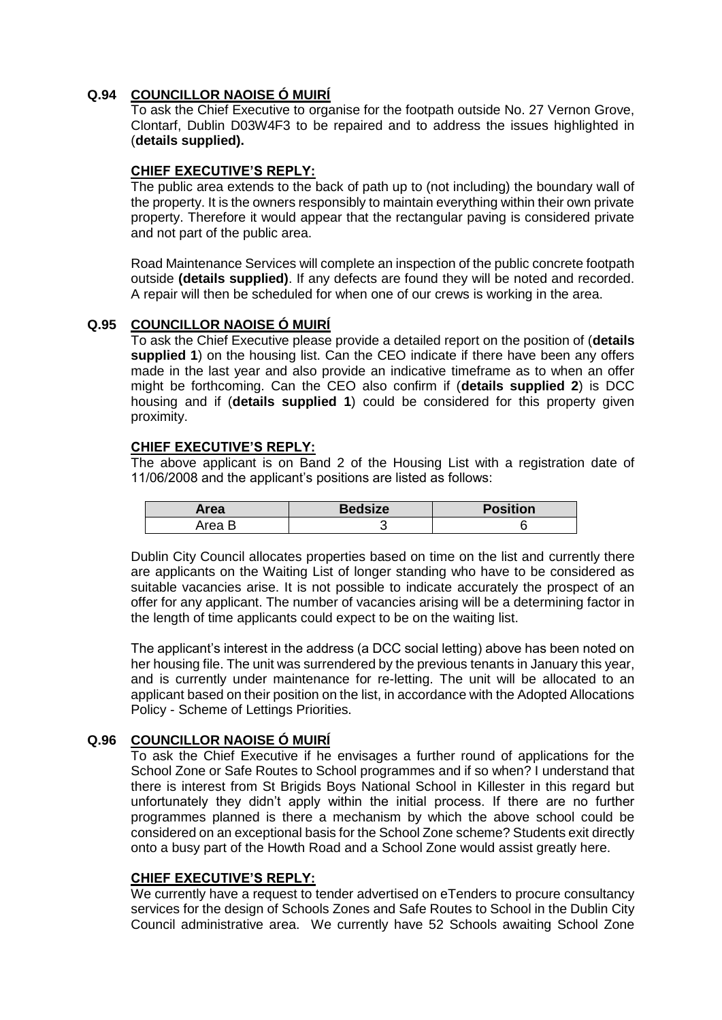# **Q.94 COUNCILLOR NAOISE Ó MUIRÍ**

To ask the Chief Executive to organise for the footpath outside No. 27 Vernon Grove, Clontarf, Dublin D03W4F3 to be repaired and to address the issues highlighted in (**details supplied).**

## **CHIEF EXECUTIVE'S REPLY:**

The public area extends to the back of path up to (not including) the boundary wall of the property. It is the owners responsibly to maintain everything within their own private property. Therefore it would appear that the rectangular paving is considered private and not part of the public area.

Road Maintenance Services will complete an inspection of the public concrete footpath outside **(details supplied)**. If any defects are found they will be noted and recorded. A repair will then be scheduled for when one of our crews is working in the area.

## **Q.95 COUNCILLOR NAOISE Ó MUIRÍ**

To ask the Chief Executive please provide a detailed report on the position of (**details supplied 1**) on the housing list. Can the CEO indicate if there have been any offers made in the last year and also provide an indicative timeframe as to when an offer might be forthcoming. Can the CEO also confirm if (**details supplied 2**) is DCC housing and if (**details supplied 1**) could be considered for this property given proximity.

## **CHIEF EXECUTIVE'S REPLY:**

The above applicant is on Band 2 of the Housing List with a registration date of 11/06/2008 and the applicant's positions are listed as follows:

| Area   | <b>Bedsize</b> | <b>Position</b> |
|--------|----------------|-----------------|
| Area P |                |                 |

Dublin City Council allocates properties based on time on the list and currently there are applicants on the Waiting List of longer standing who have to be considered as suitable vacancies arise. It is not possible to indicate accurately the prospect of an offer for any applicant. The number of vacancies arising will be a determining factor in the length of time applicants could expect to be on the waiting list.

The applicant's interest in the address (a DCC social letting) above has been noted on her housing file. The unit was surrendered by the previous tenants in January this year, and is currently under maintenance for re-letting. The unit will be allocated to an applicant based on their position on the list, in accordance with the Adopted Allocations Policy - Scheme of Lettings Priorities.

# **Q.96 COUNCILLOR NAOISE Ó MUIRÍ**

To ask the Chief Executive if he envisages a further round of applications for the School Zone or Safe Routes to School programmes and if so when? I understand that there is interest from St Brigids Boys National School in Killester in this regard but unfortunately they didn't apply within the initial process. If there are no further programmes planned is there a mechanism by which the above school could be considered on an exceptional basis for the School Zone scheme? Students exit directly onto a busy part of the Howth Road and a School Zone would assist greatly here.

## **CHIEF EXECUTIVE'S REPLY:**

We currently have a request to tender advertised on eTenders to procure consultancy services for the design of Schools Zones and Safe Routes to School in the Dublin City Council administrative area. We currently have 52 Schools awaiting School Zone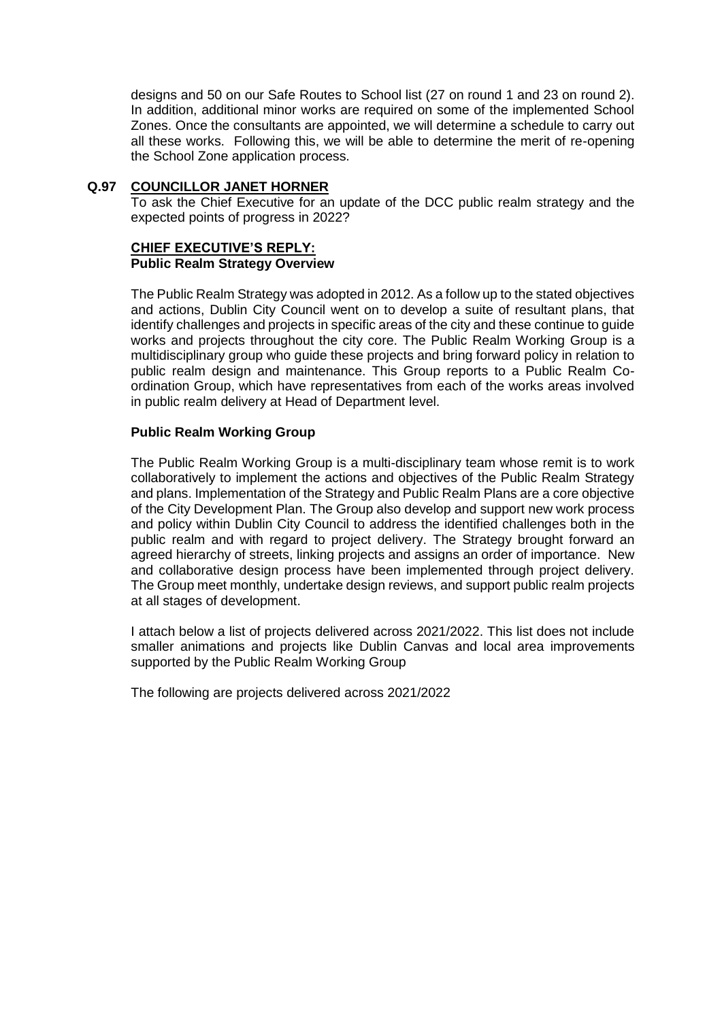designs and 50 on our Safe Routes to School list (27 on round 1 and 23 on round 2). In addition, additional minor works are required on some of the implemented School Zones. Once the consultants are appointed, we will determine a schedule to carry out all these works. Following this, we will be able to determine the merit of re-opening the School Zone application process.

## **Q.97 COUNCILLOR JANET HORNER**

To ask the Chief Executive for an update of the DCC public realm strategy and the expected points of progress in 2022?

## **CHIEF EXECUTIVE'S REPLY: Public Realm Strategy Overview**

The Public Realm Strategy was adopted in 2012. As a follow up to the stated objectives and actions, Dublin City Council went on to develop a suite of resultant plans, that identify challenges and projects in specific areas of the city and these continue to guide works and projects throughout the city core. The Public Realm Working Group is a multidisciplinary group who guide these projects and bring forward policy in relation to public realm design and maintenance. This Group reports to a Public Realm Coordination Group, which have representatives from each of the works areas involved in public realm delivery at Head of Department level.

## **Public Realm Working Group**

The Public Realm Working Group is a multi-disciplinary team whose remit is to work collaboratively to implement the actions and objectives of the Public Realm Strategy and plans. Implementation of the Strategy and Public Realm Plans are a core objective of the City Development Plan. The Group also develop and support new work process and policy within Dublin City Council to address the identified challenges both in the public realm and with regard to project delivery. The Strategy brought forward an agreed hierarchy of streets, linking projects and assigns an order of importance. New and collaborative design process have been implemented through project delivery. The Group meet monthly, undertake design reviews, and support public realm projects at all stages of development.

I attach below a list of projects delivered across 2021/2022. This list does not include smaller animations and projects like Dublin Canvas and local area improvements supported by the Public Realm Working Group

The following are projects delivered across 2021/2022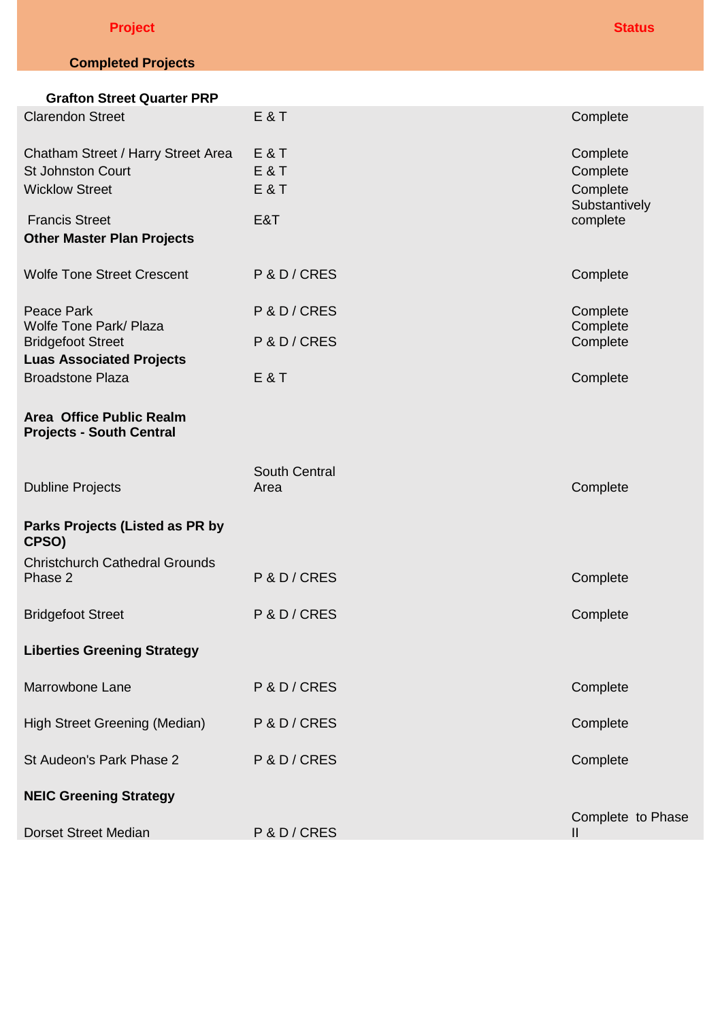| <b>Project</b> |  | <b>Status</b> |
|----------------|--|---------------|
|                |  |               |

# **Completed Projects**

| <b>Grafton Street Quarter PRP</b>                                                       |                                         |                                                   |
|-----------------------------------------------------------------------------------------|-----------------------------------------|---------------------------------------------------|
| <b>Clarendon Street</b>                                                                 | <b>E&amp;T</b>                          | Complete                                          |
| Chatham Street / Harry Street Area<br><b>St Johnston Court</b><br><b>Wicklow Street</b> | E&T<br><b>E&amp;T</b><br><b>E&amp;T</b> | Complete<br>Complete<br>Complete<br>Substantively |
| <b>Francis Street</b><br><b>Other Master Plan Projects</b>                              | E&T                                     | complete                                          |
| <b>Wolfe Tone Street Crescent</b>                                                       | P & D / CRES                            | Complete                                          |
| Peace Park<br><b>Wolfe Tone Park/ Plaza</b>                                             | P & D / CRES                            | Complete<br>Complete                              |
| <b>Bridgefoot Street</b><br><b>Luas Associated Projects</b>                             | P & D / CRES                            | Complete                                          |
| <b>Broadstone Plaza</b>                                                                 | <b>E&amp;T</b>                          | Complete                                          |
| Area Office Public Realm<br><b>Projects - South Central</b>                             |                                         |                                                   |
| <b>Dubline Projects</b>                                                                 | <b>South Central</b><br>Area            | Complete                                          |
| Parks Projects (Listed as PR by<br>CPSO)                                                |                                         |                                                   |
| <b>Christchurch Cathedral Grounds</b><br>Phase 2                                        | P & D / CRES                            | Complete                                          |
| <b>Bridgefoot Street</b>                                                                | P & D / CRES                            | Complete                                          |
| <b>Liberties Greening Strategy</b>                                                      |                                         |                                                   |
| Marrowbone Lane                                                                         | P & D / CRES                            | Complete                                          |
| High Street Greening (Median)                                                           | P & D / CRES                            | Complete                                          |
| St Audeon's Park Phase 2                                                                | P & D / CRES                            | Complete                                          |
| <b>NEIC Greening Strategy</b>                                                           |                                         |                                                   |
| <b>Dorset Street Median</b>                                                             | P & D / CRES                            | Complete to Phase<br>$\mathbf{II}$                |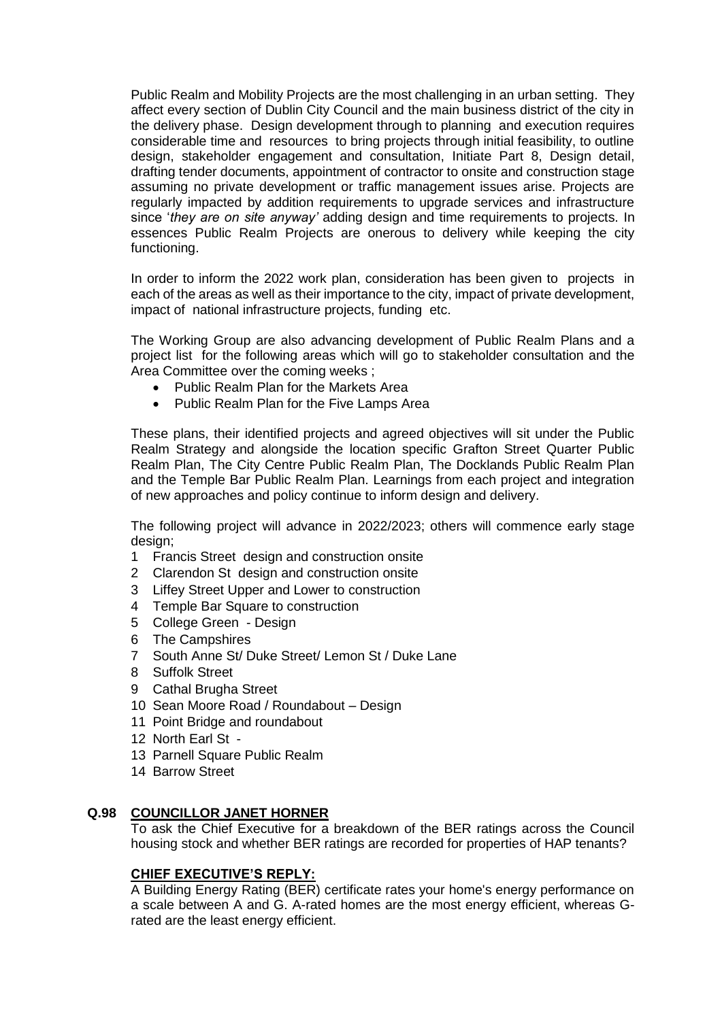Public Realm and Mobility Projects are the most challenging in an urban setting. They affect every section of Dublin City Council and the main business district of the city in the delivery phase. Design development through to planning and execution requires considerable time and resources to bring projects through initial feasibility, to outline design, stakeholder engagement and consultation, Initiate Part 8, Design detail, drafting tender documents, appointment of contractor to onsite and construction stage assuming no private development or traffic management issues arise. Projects are regularly impacted by addition requirements to upgrade services and infrastructure since '*they are on site anyway'* adding design and time requirements to projects. In essences Public Realm Projects are onerous to delivery while keeping the city functioning.

In order to inform the 2022 work plan, consideration has been given to projects in each of the areas as well as their importance to the city, impact of private development, impact of national infrastructure projects, funding etc.

The Working Group are also advancing development of Public Realm Plans and a project list for the following areas which will go to stakeholder consultation and the Area Committee over the coming weeks ;

- Public Realm Plan for the Markets Area
- Public Realm Plan for the Five Lamps Area

These plans, their identified projects and agreed objectives will sit under the Public Realm Strategy and alongside the location specific Grafton Street Quarter Public Realm Plan, The City Centre Public Realm Plan, The Docklands Public Realm Plan and the Temple Bar Public Realm Plan. Learnings from each project and integration of new approaches and policy continue to inform design and delivery.

The following project will advance in 2022/2023; others will commence early stage design:

- 1 Francis Street design and construction onsite
- 2 Clarendon Stdesign and construction onsite
- 3 Liffey Street Upper and Lower to construction
- 4 Temple Bar Square to construction
- 5 College Green Design
- 6 The Campshires
- 7 South Anne St/ Duke Street/ Lemon St / Duke Lane
- 8 Suffolk Street
- 9 Cathal Brugha Street
- 10 Sean Moore Road / Roundabout Design
- 11 Point Bridge and roundabout
- 12 North Earl St -
- 13 Parnell Square Public Realm
- 14 Barrow Street

### **Q.98 COUNCILLOR JANET HORNER**

To ask the Chief Executive for a breakdown of the BER ratings across the Council housing stock and whether BER ratings are recorded for properties of HAP tenants?

### **CHIEF EXECUTIVE'S REPLY:**

A Building Energy Rating (BER) certificate rates your home's energy performance on a scale between A and G. A-rated homes are the most energy efficient, whereas Grated are the least energy efficient.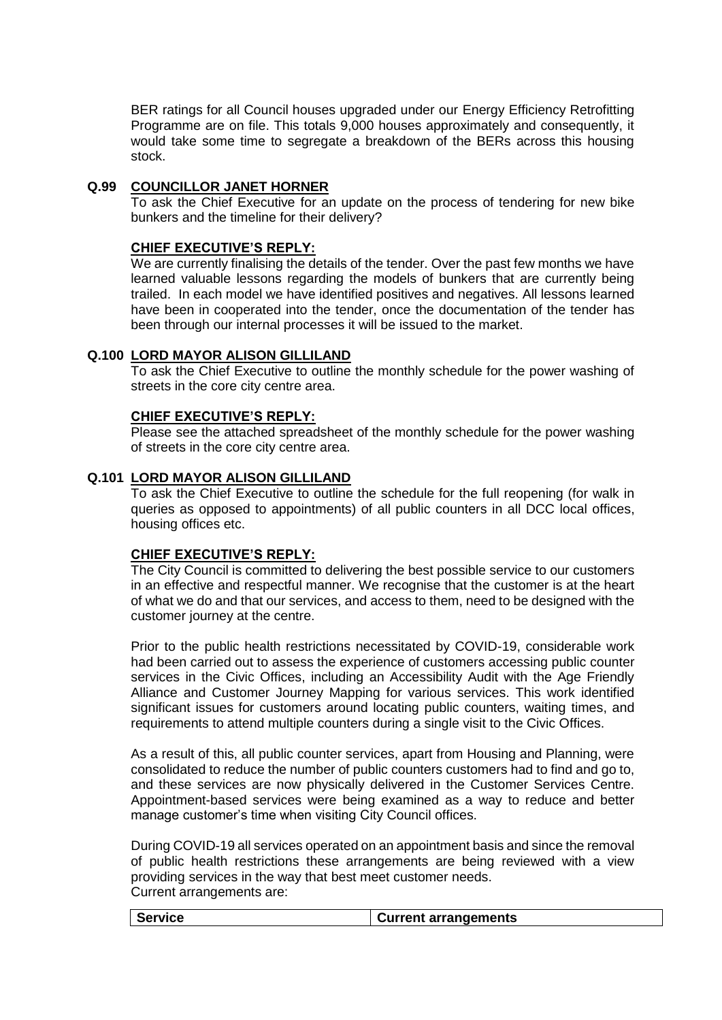BER ratings for all Council houses upgraded under our Energy Efficiency Retrofitting Programme are on file. This totals 9,000 houses approximately and consequently, it would take some time to segregate a breakdown of the BERs across this housing stock.

## **Q.99 COUNCILLOR JANET HORNER**

To ask the Chief Executive for an update on the process of tendering for new bike bunkers and the timeline for their delivery?

### **CHIEF EXECUTIVE'S REPLY:**

We are currently finalising the details of the tender. Over the past few months we have learned valuable lessons regarding the models of bunkers that are currently being trailed. In each model we have identified positives and negatives. All lessons learned have been in cooperated into the tender, once the documentation of the tender has been through our internal processes it will be issued to the market.

## **Q.100 LORD MAYOR ALISON GILLILAND**

To ask the Chief Executive to outline the monthly schedule for the power washing of streets in the core city centre area.

### **CHIEF EXECUTIVE'S REPLY:**

Please see the attached spreadsheet of the monthly schedule for the power washing of streets in the core city centre area.

## **Q.101 LORD MAYOR ALISON GILLILAND**

To ask the Chief Executive to outline the schedule for the full reopening (for walk in queries as opposed to appointments) of all public counters in all DCC local offices, housing offices etc.

### **CHIEF EXECUTIVE'S REPLY:**

The City Council is committed to delivering the best possible service to our customers in an effective and respectful manner. We recognise that the customer is at the heart of what we do and that our services, and access to them, need to be designed with the customer journey at the centre.

Prior to the public health restrictions necessitated by COVID-19, considerable work had been carried out to assess the experience of customers accessing public counter services in the Civic Offices, including an Accessibility Audit with the Age Friendly Alliance and Customer Journey Mapping for various services. This work identified significant issues for customers around locating public counters, waiting times, and requirements to attend multiple counters during a single visit to the Civic Offices.

As a result of this, all public counter services, apart from Housing and Planning, were consolidated to reduce the number of public counters customers had to find and go to, and these services are now physically delivered in the Customer Services Centre. Appointment-based services were being examined as a way to reduce and better manage customer's time when visiting City Council offices.

During COVID-19 all services operated on an appointment basis and since the removal of public health restrictions these arrangements are being reviewed with a view providing services in the way that best meet customer needs. Current arrangements are:

| Service | <b>Current arrangements</b> |
|---------|-----------------------------|
|         |                             |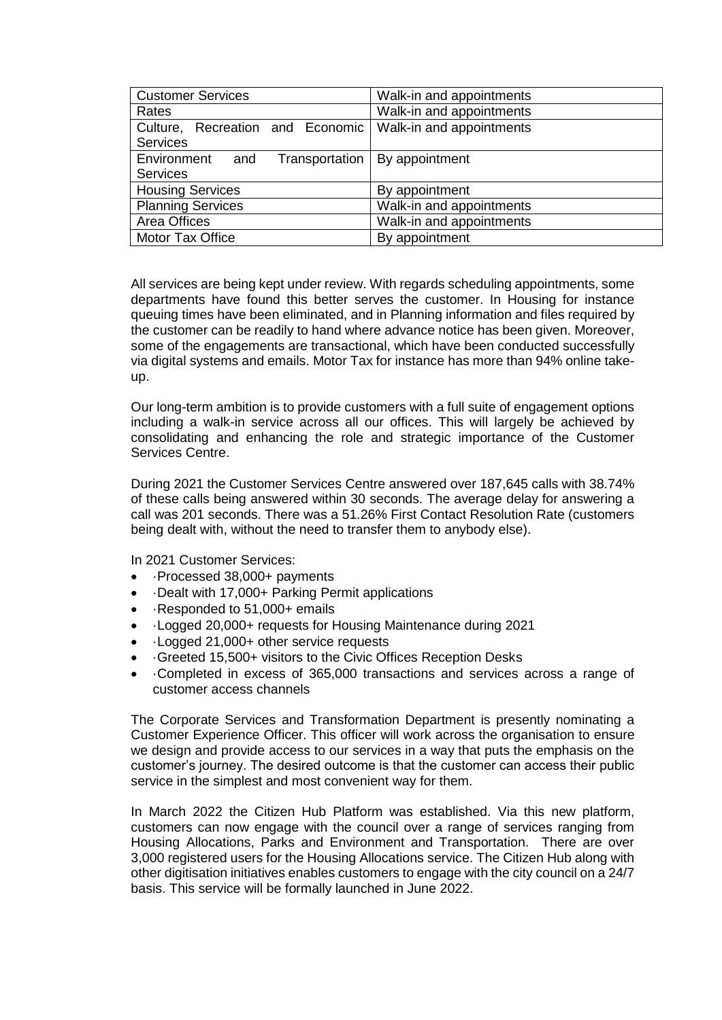| <b>Customer Services</b>               | Walk-in and appointments |
|----------------------------------------|--------------------------|
| Rates                                  | Walk-in and appointments |
| Culture, Recreation and Economic       | Walk-in and appointments |
| Services                               |                          |
| Environment<br>Transportation  <br>and | By appointment           |
| <b>Services</b>                        |                          |
| <b>Housing Services</b>                | By appointment           |
| <b>Planning Services</b>               | Walk-in and appointments |
| Area Offices                           | Walk-in and appointments |
| Motor Tax Office                       | By appointment           |

All services are being kept under review. With regards scheduling appointments, some departments have found this better serves the customer. In Housing for instance queuing times have been eliminated, and in Planning information and files required by the customer can be readily to hand where advance notice has been given. Moreover, some of the engagements are transactional, which have been conducted successfully via digital systems and emails. Motor Tax for instance has more than 94% online takeup.

Our long-term ambition is to provide customers with a full suite of engagement options including a walk-in service across all our offices. This will largely be achieved by consolidating and enhancing the role and strategic importance of the Customer Services Centre.

During 2021 the Customer Services Centre answered over 187,645 calls with 38.74% of these calls being answered within 30 seconds. The average delay for answering a call was 201 seconds. There was a 51.26% First Contact Resolution Rate (customers being dealt with, without the need to transfer them to anybody else).

In 2021 Customer Services:

- ·Processed 38,000+ payments
- Dealt with 17,000+ Parking Permit applications
- ·Responded to 51,000+ emails
- ·Logged 20,000+ requests for Housing Maintenance during 2021
- ·Logged 21,000+ other service requests
- ·Greeted 15,500+ visitors to the Civic Offices Reception Desks
- ·Completed in excess of 365,000 transactions and services across a range of customer access channels

The Corporate Services and Transformation Department is presently nominating a Customer Experience Officer. This officer will work across the organisation to ensure we design and provide access to our services in a way that puts the emphasis on the customer's journey. The desired outcome is that the customer can access their public service in the simplest and most convenient way for them.

In March 2022 the Citizen Hub Platform was established. Via this new platform, customers can now engage with the council over a range of services ranging from Housing Allocations, Parks and Environment and Transportation. There are over 3,000 registered users for the Housing Allocations service. The Citizen Hub along with other digitisation initiatives enables customers to engage with the city council on a 24/7 basis. This service will be formally launched in June 2022.